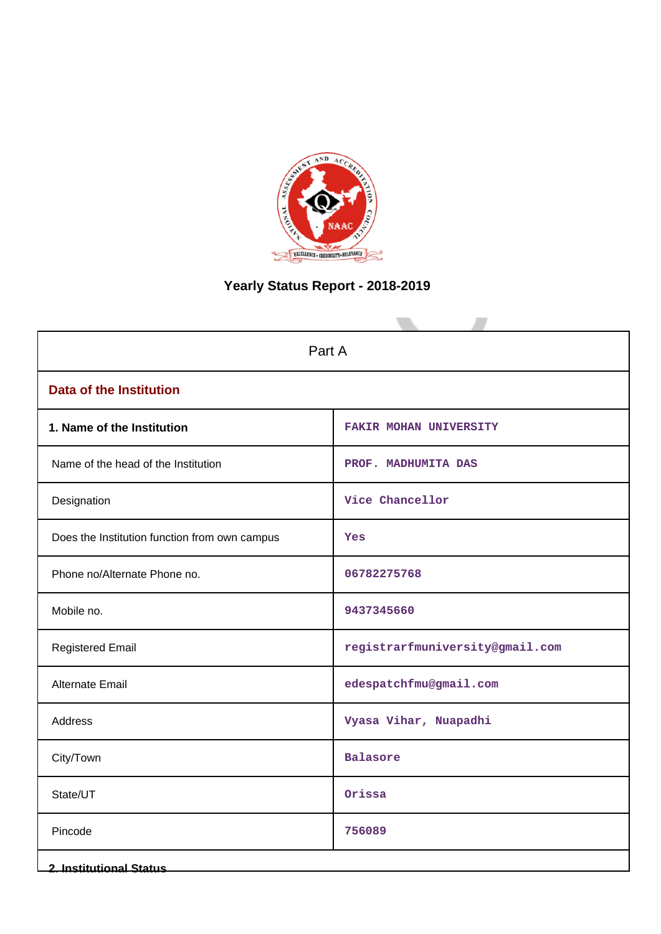

# **Yearly Status Report - 2018-2019**

| Part A                                        |                                 |
|-----------------------------------------------|---------------------------------|
| <b>Data of the Institution</b>                |                                 |
| 1. Name of the Institution                    | <b>FAKIR MOHAN UNIVERSITY</b>   |
| Name of the head of the Institution           | PROF. MADHUMITA DAS             |
| Designation                                   | Vice Chancellor                 |
| Does the Institution function from own campus | Yes                             |
| Phone no/Alternate Phone no.                  | 06782275768                     |
| Mobile no.                                    | 9437345660                      |
| <b>Registered Email</b>                       | registrarfmuniversity@gmail.com |
| <b>Alternate Email</b>                        | edespatchfmu@gmail.com          |
| Address                                       | Vyasa Vihar, Nuapadhi           |
| City/Town                                     | Balasore                        |
| State/UT                                      | Orissa                          |
| Pincode                                       | 756089                          |
| <b>2. Institutional Status</b>                |                                 |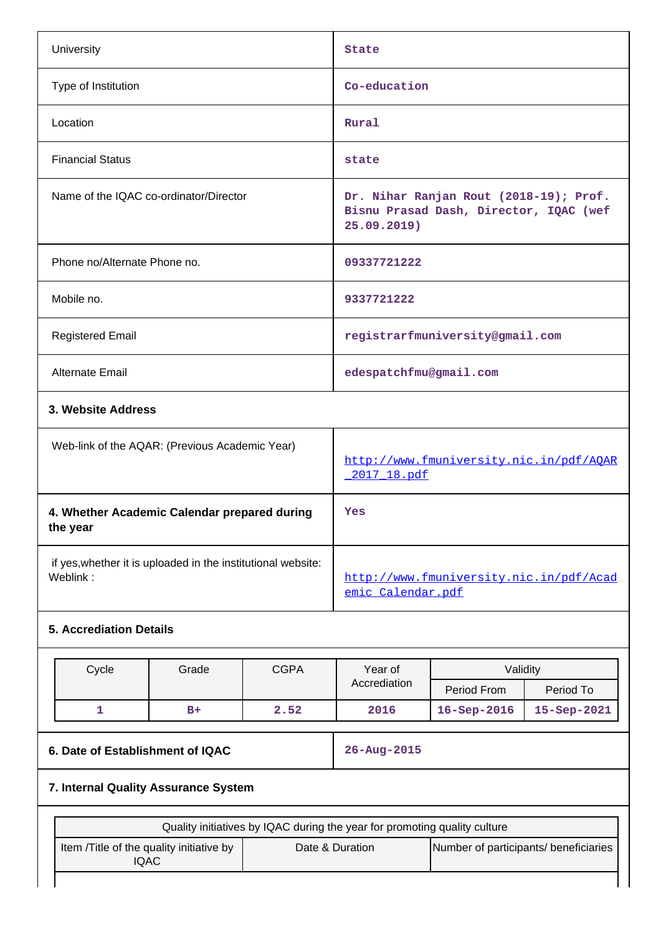| University                                                               |                                                |                     | State                                                                                                                                 |                                                        |                          |  |
|--------------------------------------------------------------------------|------------------------------------------------|---------------------|---------------------------------------------------------------------------------------------------------------------------------------|--------------------------------------------------------|--------------------------|--|
| Type of Institution                                                      |                                                |                     | Co-education                                                                                                                          |                                                        |                          |  |
| Location                                                                 |                                                |                     | Rural                                                                                                                                 |                                                        |                          |  |
| <b>Financial Status</b>                                                  |                                                |                     | state                                                                                                                                 |                                                        |                          |  |
| Name of the IQAC co-ordinator/Director                                   |                                                |                     | Dr. Nihar Ranjan Rout (2018-19); Prof.<br>Bisnu Prasad Dash, Director, IQAC (wef<br>25.09.2019)                                       |                                                        |                          |  |
| Phone no/Alternate Phone no.                                             |                                                |                     | 09337721222                                                                                                                           |                                                        |                          |  |
| Mobile no.                                                               |                                                |                     | 9337721222                                                                                                                            |                                                        |                          |  |
| <b>Registered Email</b>                                                  |                                                |                     |                                                                                                                                       | registrarfmuniversity@gmail.com                        |                          |  |
| Alternate Email                                                          |                                                |                     | edespatchfmu@gmail.com                                                                                                                |                                                        |                          |  |
| 3. Website Address                                                       |                                                |                     |                                                                                                                                       |                                                        |                          |  |
|                                                                          | Web-link of the AQAR: (Previous Academic Year) |                     |                                                                                                                                       | http://www.fmuniversity.nic.in/pdf/AQAR<br>2017 18.pdf |                          |  |
| 4. Whether Academic Calendar prepared during<br>the year                 |                                                |                     | Yes                                                                                                                                   |                                                        |                          |  |
| if yes, whether it is uploaded in the institutional website:<br>Weblink: |                                                |                     | http://www.fmuniversity.nic.in/pdf/Acad<br>emic Calendar.pdf                                                                          |                                                        |                          |  |
| <b>5. Accrediation Details</b>                                           |                                                |                     |                                                                                                                                       |                                                        |                          |  |
| Cycle<br>1                                                               | Grade<br>$B+$                                  | <b>CGPA</b><br>2.52 | Year of<br>Accrediation<br>2016                                                                                                       | Validity<br>Period From<br>16-Sep-2016                 | Period To<br>15-Sep-2021 |  |
| 6. Date of Establishment of IQAC                                         |                                                |                     | 26-Aug-2015                                                                                                                           |                                                        |                          |  |
| 7. Internal Quality Assurance System                                     |                                                |                     |                                                                                                                                       |                                                        |                          |  |
|                                                                          |                                                |                     |                                                                                                                                       |                                                        |                          |  |
| Item /Title of the quality initiative by<br><b>IQAC</b>                  |                                                |                     | Quality initiatives by IQAC during the year for promoting quality culture<br>Date & Duration<br>Number of participants/ beneficiaries |                                                        |                          |  |
|                                                                          |                                                |                     |                                                                                                                                       |                                                        |                          |  |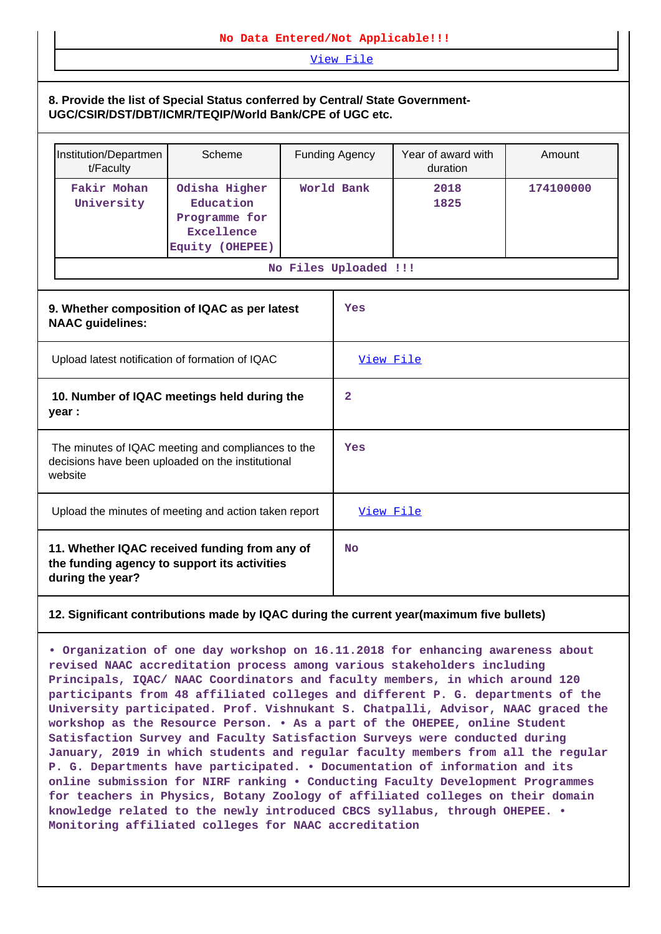## **No Data Entered/Not Applicable!!!**

[View File](https://assessmentonline.naac.gov.in/public/Postacc/Quality_Initiatives/5842_Quality_Initiatives.docx)

## **8. Provide the list of Special Status conferred by Central/ State Government-UGC/CSIR/DST/DBT/ICMR/TEQIP/World Bank/CPE of UGC etc.**

| Institution/Departmen<br>t/Faculty | Scheme                                                                                                  | <b>Funding Agency</b> | Year of award with<br>duration | Amount    |  |
|------------------------------------|---------------------------------------------------------------------------------------------------------|-----------------------|--------------------------------|-----------|--|
| Fakir Mohan<br>University          | Odisha Higher<br>Education<br>Programme for<br>Excellence<br>Equity (OHEPEE)                            | World Bank            | 2018<br>1825                   | 174100000 |  |
|                                    |                                                                                                         | No Files Uploaded !!! |                                |           |  |
| <b>NAAC</b> guidelines:            | 9. Whether composition of IQAC as per latest                                                            | Yes                   |                                |           |  |
|                                    | Upload latest notification of formation of IQAC                                                         | View File             |                                |           |  |
| year :                             | 10. Number of IQAC meetings held during the                                                             | 2                     |                                |           |  |
| website                            | The minutes of IQAC meeting and compliances to the<br>decisions have been uploaded on the institutional | Yes                   |                                |           |  |
|                                    | Upload the minutes of meeting and action taken report                                                   | View File             |                                |           |  |
| during the year?                   | 11. Whether IQAC received funding from any of<br>the funding agency to support its activities           | No                    |                                |           |  |

## **12. Significant contributions made by IQAC during the current year(maximum five bullets)**

**• Organization of one day workshop on 16.11.2018 for enhancing awareness about revised NAAC accreditation process among various stakeholders including Principals, IQAC/ NAAC Coordinators and faculty members, in which around 120 participants from 48 affiliated colleges and different P. G. departments of the University participated. Prof. Vishnukant S. Chatpalli, Advisor, NAAC graced the workshop as the Resource Person. • As a part of the OHEPEE, online Student Satisfaction Survey and Faculty Satisfaction Surveys were conducted during January, 2019 in which students and regular faculty members from all the regular P. G. Departments have participated. • Documentation of information and its online submission for NIRF ranking • Conducting Faculty Development Programmes for teachers in Physics, Botany Zoology of affiliated colleges on their domain knowledge related to the newly introduced CBCS syllabus, through OHEPEE. • Monitoring affiliated colleges for NAAC accreditation**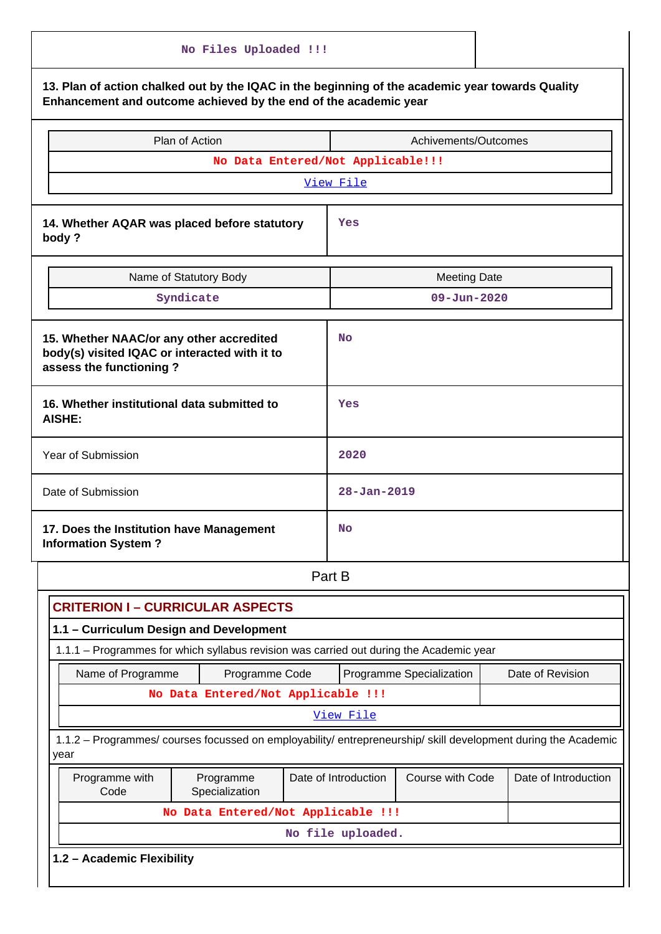|                                                                                                                                                                      | No Files Uploaded !!!              |                      |                          |  |                      |
|----------------------------------------------------------------------------------------------------------------------------------------------------------------------|------------------------------------|----------------------|--------------------------|--|----------------------|
| 13. Plan of action chalked out by the IQAC in the beginning of the academic year towards Quality<br>Enhancement and outcome achieved by the end of the academic year |                                    |                      |                          |  |                      |
|                                                                                                                                                                      | Plan of Action                     |                      | Achivements/Outcomes     |  |                      |
|                                                                                                                                                                      | No Data Entered/Not Applicable!!!  |                      |                          |  |                      |
|                                                                                                                                                                      |                                    | View File            |                          |  |                      |
| 14. Whether AQAR was placed before statutory<br>body?                                                                                                                |                                    | Yes                  |                          |  |                      |
|                                                                                                                                                                      | Name of Statutory Body             |                      | <b>Meeting Date</b>      |  |                      |
|                                                                                                                                                                      | Syndicate                          |                      | $09 - Jun - 2020$        |  |                      |
| 15. Whether NAAC/or any other accredited<br>body(s) visited IQAC or interacted with it to<br>assess the functioning?                                                 |                                    | <b>No</b>            |                          |  |                      |
| 16. Whether institutional data submitted to<br><b>AISHE:</b>                                                                                                         |                                    | Yes                  |                          |  |                      |
| <b>Year of Submission</b>                                                                                                                                            |                                    | 2020                 |                          |  |                      |
| Date of Submission                                                                                                                                                   |                                    | $28 - Jan - 2019$    |                          |  |                      |
| 17. Does the Institution have Management<br><b>Information System?</b>                                                                                               |                                    | No                   |                          |  |                      |
|                                                                                                                                                                      |                                    | Part B               |                          |  |                      |
| <b>CRITERION I-CURRICULAR ASPECTS</b>                                                                                                                                |                                    |                      |                          |  |                      |
| 1.1 - Curriculum Design and Development                                                                                                                              |                                    |                      |                          |  |                      |
| 1.1.1 - Programmes for which syllabus revision was carried out during the Academic year                                                                              |                                    |                      |                          |  |                      |
| Name of Programme                                                                                                                                                    | Programme Code                     |                      | Programme Specialization |  | Date of Revision     |
|                                                                                                                                                                      | No Data Entered/Not Applicable !!! |                      |                          |  |                      |
|                                                                                                                                                                      |                                    | View File            |                          |  |                      |
| 1.1.2 - Programmes/ courses focussed on employability/ entrepreneurship/ skill development during the Academic<br>year                                               |                                    |                      |                          |  |                      |
| Programme with<br>Code                                                                                                                                               | Programme<br>Specialization        | Date of Introduction | Course with Code         |  | Date of Introduction |
|                                                                                                                                                                      | No Data Entered/Not Applicable !!! |                      |                          |  |                      |
|                                                                                                                                                                      |                                    | No file uploaded.    |                          |  |                      |
| 1.2 - Academic Flexibility                                                                                                                                           |                                    |                      |                          |  |                      |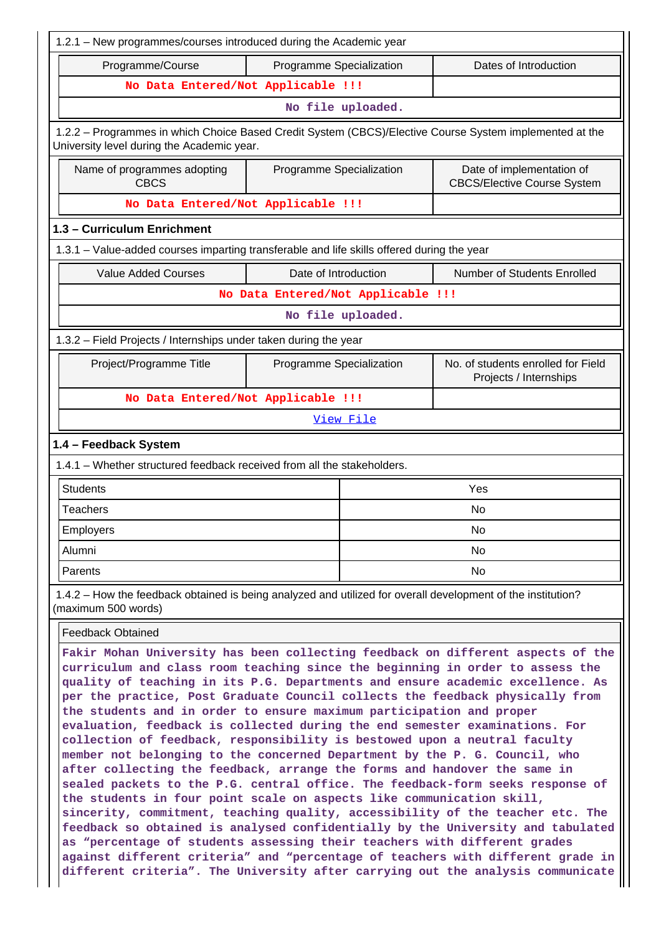| 1.2.1 - New programmes/courses introduced during the Academic year                                                                                                                                                                                                                                                                                                                                                                                                                                                                                                                                                                                                                                                                                                                                                                                                                                                                                                                                                                                                                                                                              |                                                                                          |                   |                                                                                                                                                                    |  |  |  |  |  |  |
|-------------------------------------------------------------------------------------------------------------------------------------------------------------------------------------------------------------------------------------------------------------------------------------------------------------------------------------------------------------------------------------------------------------------------------------------------------------------------------------------------------------------------------------------------------------------------------------------------------------------------------------------------------------------------------------------------------------------------------------------------------------------------------------------------------------------------------------------------------------------------------------------------------------------------------------------------------------------------------------------------------------------------------------------------------------------------------------------------------------------------------------------------|------------------------------------------------------------------------------------------|-------------------|--------------------------------------------------------------------------------------------------------------------------------------------------------------------|--|--|--|--|--|--|
| Programme/Course                                                                                                                                                                                                                                                                                                                                                                                                                                                                                                                                                                                                                                                                                                                                                                                                                                                                                                                                                                                                                                                                                                                                | Programme Specialization                                                                 |                   | Dates of Introduction                                                                                                                                              |  |  |  |  |  |  |
| No Data Entered/Not Applicable !!!                                                                                                                                                                                                                                                                                                                                                                                                                                                                                                                                                                                                                                                                                                                                                                                                                                                                                                                                                                                                                                                                                                              |                                                                                          |                   |                                                                                                                                                                    |  |  |  |  |  |  |
|                                                                                                                                                                                                                                                                                                                                                                                                                                                                                                                                                                                                                                                                                                                                                                                                                                                                                                                                                                                                                                                                                                                                                 |                                                                                          | No file uploaded. |                                                                                                                                                                    |  |  |  |  |  |  |
| 1.2.2 - Programmes in which Choice Based Credit System (CBCS)/Elective Course System implemented at the<br>University level during the Academic year.                                                                                                                                                                                                                                                                                                                                                                                                                                                                                                                                                                                                                                                                                                                                                                                                                                                                                                                                                                                           |                                                                                          |                   |                                                                                                                                                                    |  |  |  |  |  |  |
| Name of programmes adopting<br><b>CBCS</b>                                                                                                                                                                                                                                                                                                                                                                                                                                                                                                                                                                                                                                                                                                                                                                                                                                                                                                                                                                                                                                                                                                      | Programme Specialization                                                                 |                   | Date of implementation of<br><b>CBCS/Elective Course System</b>                                                                                                    |  |  |  |  |  |  |
| No Data Entered/Not Applicable !!!                                                                                                                                                                                                                                                                                                                                                                                                                                                                                                                                                                                                                                                                                                                                                                                                                                                                                                                                                                                                                                                                                                              |                                                                                          |                   |                                                                                                                                                                    |  |  |  |  |  |  |
| 1.3 - Curriculum Enrichment                                                                                                                                                                                                                                                                                                                                                                                                                                                                                                                                                                                                                                                                                                                                                                                                                                                                                                                                                                                                                                                                                                                     |                                                                                          |                   |                                                                                                                                                                    |  |  |  |  |  |  |
| 1.3.1 - Value-added courses imparting transferable and life skills offered during the year                                                                                                                                                                                                                                                                                                                                                                                                                                                                                                                                                                                                                                                                                                                                                                                                                                                                                                                                                                                                                                                      |                                                                                          |                   |                                                                                                                                                                    |  |  |  |  |  |  |
| <b>Value Added Courses</b>                                                                                                                                                                                                                                                                                                                                                                                                                                                                                                                                                                                                                                                                                                                                                                                                                                                                                                                                                                                                                                                                                                                      | Date of Introduction                                                                     |                   | Number of Students Enrolled                                                                                                                                        |  |  |  |  |  |  |
|                                                                                                                                                                                                                                                                                                                                                                                                                                                                                                                                                                                                                                                                                                                                                                                                                                                                                                                                                                                                                                                                                                                                                 | No Data Entered/Not Applicable !!!                                                       |                   |                                                                                                                                                                    |  |  |  |  |  |  |
|                                                                                                                                                                                                                                                                                                                                                                                                                                                                                                                                                                                                                                                                                                                                                                                                                                                                                                                                                                                                                                                                                                                                                 |                                                                                          | No file uploaded. |                                                                                                                                                                    |  |  |  |  |  |  |
| 1.3.2 - Field Projects / Internships under taken during the year                                                                                                                                                                                                                                                                                                                                                                                                                                                                                                                                                                                                                                                                                                                                                                                                                                                                                                                                                                                                                                                                                |                                                                                          |                   |                                                                                                                                                                    |  |  |  |  |  |  |
| Project/Programme Title                                                                                                                                                                                                                                                                                                                                                                                                                                                                                                                                                                                                                                                                                                                                                                                                                                                                                                                                                                                                                                                                                                                         | Programme Specialization<br>No. of students enrolled for Field<br>Projects / Internships |                   |                                                                                                                                                                    |  |  |  |  |  |  |
| No Data Entered/Not Applicable !!!                                                                                                                                                                                                                                                                                                                                                                                                                                                                                                                                                                                                                                                                                                                                                                                                                                                                                                                                                                                                                                                                                                              |                                                                                          |                   |                                                                                                                                                                    |  |  |  |  |  |  |
| View File                                                                                                                                                                                                                                                                                                                                                                                                                                                                                                                                                                                                                                                                                                                                                                                                                                                                                                                                                                                                                                                                                                                                       |                                                                                          |                   |                                                                                                                                                                    |  |  |  |  |  |  |
| 1.4 - Feedback System                                                                                                                                                                                                                                                                                                                                                                                                                                                                                                                                                                                                                                                                                                                                                                                                                                                                                                                                                                                                                                                                                                                           |                                                                                          |                   |                                                                                                                                                                    |  |  |  |  |  |  |
| 1.4.1 - Whether structured feedback received from all the stakeholders.                                                                                                                                                                                                                                                                                                                                                                                                                                                                                                                                                                                                                                                                                                                                                                                                                                                                                                                                                                                                                                                                         |                                                                                          |                   |                                                                                                                                                                    |  |  |  |  |  |  |
| <b>Students</b>                                                                                                                                                                                                                                                                                                                                                                                                                                                                                                                                                                                                                                                                                                                                                                                                                                                                                                                                                                                                                                                                                                                                 |                                                                                          |                   | Yes                                                                                                                                                                |  |  |  |  |  |  |
| <b>Teachers</b>                                                                                                                                                                                                                                                                                                                                                                                                                                                                                                                                                                                                                                                                                                                                                                                                                                                                                                                                                                                                                                                                                                                                 |                                                                                          |                   | No                                                                                                                                                                 |  |  |  |  |  |  |
| Employers                                                                                                                                                                                                                                                                                                                                                                                                                                                                                                                                                                                                                                                                                                                                                                                                                                                                                                                                                                                                                                                                                                                                       |                                                                                          |                   | No                                                                                                                                                                 |  |  |  |  |  |  |
| Alumni                                                                                                                                                                                                                                                                                                                                                                                                                                                                                                                                                                                                                                                                                                                                                                                                                                                                                                                                                                                                                                                                                                                                          |                                                                                          |                   | No.                                                                                                                                                                |  |  |  |  |  |  |
| Parents                                                                                                                                                                                                                                                                                                                                                                                                                                                                                                                                                                                                                                                                                                                                                                                                                                                                                                                                                                                                                                                                                                                                         |                                                                                          |                   | No                                                                                                                                                                 |  |  |  |  |  |  |
| 1.4.2 – How the feedback obtained is being analyzed and utilized for overall development of the institution?<br>(maximum 500 words)                                                                                                                                                                                                                                                                                                                                                                                                                                                                                                                                                                                                                                                                                                                                                                                                                                                                                                                                                                                                             |                                                                                          |                   |                                                                                                                                                                    |  |  |  |  |  |  |
| <b>Feedback Obtained</b>                                                                                                                                                                                                                                                                                                                                                                                                                                                                                                                                                                                                                                                                                                                                                                                                                                                                                                                                                                                                                                                                                                                        |                                                                                          |                   |                                                                                                                                                                    |  |  |  |  |  |  |
| Fakir Mohan University has been collecting feedback on different aspects of the<br>curriculum and class room teaching since the beginning in order to assess the<br>quality of teaching in its P.G. Departments and ensure academic excellence. As<br>per the practice, Post Graduate Council collects the feedback physically from<br>the students and in order to ensure maximum participation and proper<br>evaluation, feedback is collected during the end semester examinations. For<br>collection of feedback, responsibility is bestowed upon a neutral faculty<br>member not belonging to the concerned Department by the P. G. Council, who<br>after collecting the feedback, arrange the forms and handover the same in<br>sealed packets to the P.G. central office. The feedback-form seeks response of<br>the students in four point scale on aspects like communication skill,<br>sincerity, commitment, teaching quality, accessibility of the teacher etc. The<br>feedback so obtained is analysed confidentially by the University and tabulated<br>as "percentage of students assessing their teachers with different grades |                                                                                          |                   |                                                                                                                                                                    |  |  |  |  |  |  |
|                                                                                                                                                                                                                                                                                                                                                                                                                                                                                                                                                                                                                                                                                                                                                                                                                                                                                                                                                                                                                                                                                                                                                 |                                                                                          |                   | against different criteria" and "percentage of teachers with different grade in<br>different criteria". The University after carrying out the analysis communicate |  |  |  |  |  |  |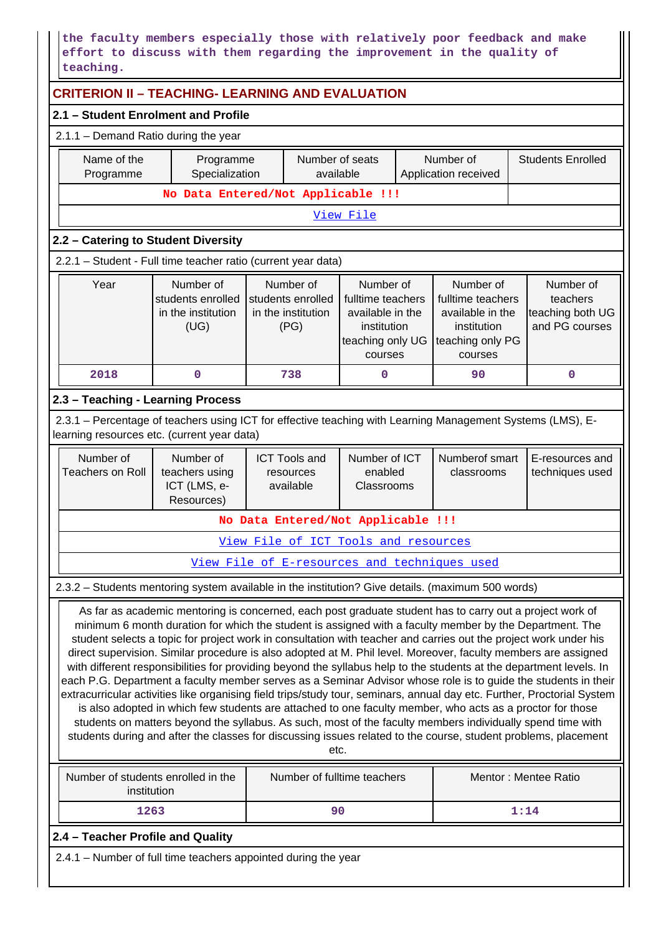**the faculty members especially those with relatively poor feedback and make effort to discuss with them regarding the improvement in the quality of teaching.**

| <b>CRITERION II - TEACHING- LEARNING AND EVALUATION</b>                                                                                                                                                                                                                                                                                                                                                                                                                                                                                                                                                                                                                                                                                                                                                                                                                                                                                                                                                                                                                                                                                                                            |                                                                                                                                                                                                                                                                                                                                                  |                                                                                          |                              |                                      |  |                                              |      |                                                 |  |  |
|------------------------------------------------------------------------------------------------------------------------------------------------------------------------------------------------------------------------------------------------------------------------------------------------------------------------------------------------------------------------------------------------------------------------------------------------------------------------------------------------------------------------------------------------------------------------------------------------------------------------------------------------------------------------------------------------------------------------------------------------------------------------------------------------------------------------------------------------------------------------------------------------------------------------------------------------------------------------------------------------------------------------------------------------------------------------------------------------------------------------------------------------------------------------------------|--------------------------------------------------------------------------------------------------------------------------------------------------------------------------------------------------------------------------------------------------------------------------------------------------------------------------------------------------|------------------------------------------------------------------------------------------|------------------------------|--------------------------------------|--|----------------------------------------------|------|-------------------------------------------------|--|--|
| 2.1 - Student Enrolment and Profile                                                                                                                                                                                                                                                                                                                                                                                                                                                                                                                                                                                                                                                                                                                                                                                                                                                                                                                                                                                                                                                                                                                                                |                                                                                                                                                                                                                                                                                                                                                  |                                                                                          |                              |                                      |  |                                              |      |                                                 |  |  |
| 2.1.1 - Demand Ratio during the year                                                                                                                                                                                                                                                                                                                                                                                                                                                                                                                                                                                                                                                                                                                                                                                                                                                                                                                                                                                                                                                                                                                                               |                                                                                                                                                                                                                                                                                                                                                  |                                                                                          |                              |                                      |  |                                              |      |                                                 |  |  |
| Name of the<br>Programme                                                                                                                                                                                                                                                                                                                                                                                                                                                                                                                                                                                                                                                                                                                                                                                                                                                                                                                                                                                                                                                                                                                                                           | Programme<br>Specialization                                                                                                                                                                                                                                                                                                                      |                                                                                          | Number of seats<br>available |                                      |  | Number of<br>Application received            |      | <b>Students Enrolled</b>                        |  |  |
|                                                                                                                                                                                                                                                                                                                                                                                                                                                                                                                                                                                                                                                                                                                                                                                                                                                                                                                                                                                                                                                                                                                                                                                    | No Data Entered/Not Applicable !!!                                                                                                                                                                                                                                                                                                               |                                                                                          |                              |                                      |  |                                              |      |                                                 |  |  |
|                                                                                                                                                                                                                                                                                                                                                                                                                                                                                                                                                                                                                                                                                                                                                                                                                                                                                                                                                                                                                                                                                                                                                                                    |                                                                                                                                                                                                                                                                                                                                                  |                                                                                          |                              | View File                            |  |                                              |      |                                                 |  |  |
| 2.2 - Catering to Student Diversity                                                                                                                                                                                                                                                                                                                                                                                                                                                                                                                                                                                                                                                                                                                                                                                                                                                                                                                                                                                                                                                                                                                                                |                                                                                                                                                                                                                                                                                                                                                  |                                                                                          |                              |                                      |  |                                              |      |                                                 |  |  |
| 2.2.1 - Student - Full time teacher ratio (current year data)                                                                                                                                                                                                                                                                                                                                                                                                                                                                                                                                                                                                                                                                                                                                                                                                                                                                                                                                                                                                                                                                                                                      |                                                                                                                                                                                                                                                                                                                                                  |                                                                                          |                              |                                      |  |                                              |      |                                                 |  |  |
| Year                                                                                                                                                                                                                                                                                                                                                                                                                                                                                                                                                                                                                                                                                                                                                                                                                                                                                                                                                                                                                                                                                                                                                                               | Number of<br>Number of<br>Number of<br>Number of<br>students enrolled<br>students enrolled<br>fulltime teachers<br>fulltime teachers<br>teachers<br>in the institution<br>in the institution<br>available in the<br>available in the<br>(UG)<br>(PG)<br>institution<br>institution<br>teaching only UG<br>teaching only PG<br>courses<br>courses |                                                                                          |                              |                                      |  |                                              |      | Number of<br>teaching both UG<br>and PG courses |  |  |
| 2018                                                                                                                                                                                                                                                                                                                                                                                                                                                                                                                                                                                                                                                                                                                                                                                                                                                                                                                                                                                                                                                                                                                                                                               | $\mathbf 0$<br>738<br>0<br>90<br>0                                                                                                                                                                                                                                                                                                               |                                                                                          |                              |                                      |  |                                              |      |                                                 |  |  |
| 2.3 - Teaching - Learning Process                                                                                                                                                                                                                                                                                                                                                                                                                                                                                                                                                                                                                                                                                                                                                                                                                                                                                                                                                                                                                                                                                                                                                  |                                                                                                                                                                                                                                                                                                                                                  |                                                                                          |                              |                                      |  |                                              |      |                                                 |  |  |
| 2.3.1 – Percentage of teachers using ICT for effective teaching with Learning Management Systems (LMS), E-<br>learning resources etc. (current year data)                                                                                                                                                                                                                                                                                                                                                                                                                                                                                                                                                                                                                                                                                                                                                                                                                                                                                                                                                                                                                          |                                                                                                                                                                                                                                                                                                                                                  |                                                                                          |                              |                                      |  |                                              |      |                                                 |  |  |
| Number of<br><b>Teachers on Roll</b>                                                                                                                                                                                                                                                                                                                                                                                                                                                                                                                                                                                                                                                                                                                                                                                                                                                                                                                                                                                                                                                                                                                                               | Number of<br>teachers using<br>ICT (LMS, e-<br>Resources)                                                                                                                                                                                                                                                                                        | Number of ICT<br><b>ICT Tools and</b><br>enabled<br>resources<br>available<br>Classrooms |                              |                                      |  | Numberof smart<br>classrooms                 |      | E-resources and<br>techniques used              |  |  |
|                                                                                                                                                                                                                                                                                                                                                                                                                                                                                                                                                                                                                                                                                                                                                                                                                                                                                                                                                                                                                                                                                                                                                                                    |                                                                                                                                                                                                                                                                                                                                                  |                                                                                          |                              | No Data Entered/Not Applicable !!!   |  |                                              |      |                                                 |  |  |
|                                                                                                                                                                                                                                                                                                                                                                                                                                                                                                                                                                                                                                                                                                                                                                                                                                                                                                                                                                                                                                                                                                                                                                                    |                                                                                                                                                                                                                                                                                                                                                  |                                                                                          |                              | View File of ICT Tools and resources |  |                                              |      |                                                 |  |  |
|                                                                                                                                                                                                                                                                                                                                                                                                                                                                                                                                                                                                                                                                                                                                                                                                                                                                                                                                                                                                                                                                                                                                                                                    |                                                                                                                                                                                                                                                                                                                                                  |                                                                                          |                              |                                      |  | View File of E-resources and techniques used |      |                                                 |  |  |
| 2.3.2 - Students mentoring system available in the institution? Give details. (maximum 500 words)                                                                                                                                                                                                                                                                                                                                                                                                                                                                                                                                                                                                                                                                                                                                                                                                                                                                                                                                                                                                                                                                                  |                                                                                                                                                                                                                                                                                                                                                  |                                                                                          |                              |                                      |  |                                              |      |                                                 |  |  |
| As far as academic mentoring is concerned, each post graduate student has to carry out a project work of<br>minimum 6 month duration for which the student is assigned with a faculty member by the Department. The<br>student selects a topic for project work in consultation with teacher and carries out the project work under his<br>direct supervision. Similar procedure is also adopted at M. Phil level. Moreover, faculty members are assigned<br>with different responsibilities for providing beyond the syllabus help to the students at the department levels. In<br>each P.G. Department a faculty member serves as a Seminar Advisor whose role is to guide the students in their<br>extracurricular activities like organising field trips/study tour, seminars, annual day etc. Further, Proctorial System<br>is also adopted in which few students are attached to one faculty member, who acts as a proctor for those<br>students on matters beyond the syllabus. As such, most of the faculty members individually spend time with<br>students during and after the classes for discussing issues related to the course, student problems, placement<br>etc. |                                                                                                                                                                                                                                                                                                                                                  |                                                                                          |                              |                                      |  |                                              |      |                                                 |  |  |
| Number of students enrolled in the                                                                                                                                                                                                                                                                                                                                                                                                                                                                                                                                                                                                                                                                                                                                                                                                                                                                                                                                                                                                                                                                                                                                                 |                                                                                                                                                                                                                                                                                                                                                  |                                                                                          |                              | Number of fulltime teachers          |  |                                              |      | Mentor: Mentee Ratio                            |  |  |
| institution                                                                                                                                                                                                                                                                                                                                                                                                                                                                                                                                                                                                                                                                                                                                                                                                                                                                                                                                                                                                                                                                                                                                                                        |                                                                                                                                                                                                                                                                                                                                                  |                                                                                          |                              |                                      |  |                                              |      |                                                 |  |  |
| 1263                                                                                                                                                                                                                                                                                                                                                                                                                                                                                                                                                                                                                                                                                                                                                                                                                                                                                                                                                                                                                                                                                                                                                                               |                                                                                                                                                                                                                                                                                                                                                  |                                                                                          | 90                           |                                      |  |                                              | 1:14 |                                                 |  |  |
| 2.4 - Teacher Profile and Quality                                                                                                                                                                                                                                                                                                                                                                                                                                                                                                                                                                                                                                                                                                                                                                                                                                                                                                                                                                                                                                                                                                                                                  |                                                                                                                                                                                                                                                                                                                                                  |                                                                                          |                              |                                      |  |                                              |      |                                                 |  |  |
| 2.4.1 - Number of full time teachers appointed during the year                                                                                                                                                                                                                                                                                                                                                                                                                                                                                                                                                                                                                                                                                                                                                                                                                                                                                                                                                                                                                                                                                                                     |                                                                                                                                                                                                                                                                                                                                                  |                                                                                          |                              |                                      |  |                                              |      |                                                 |  |  |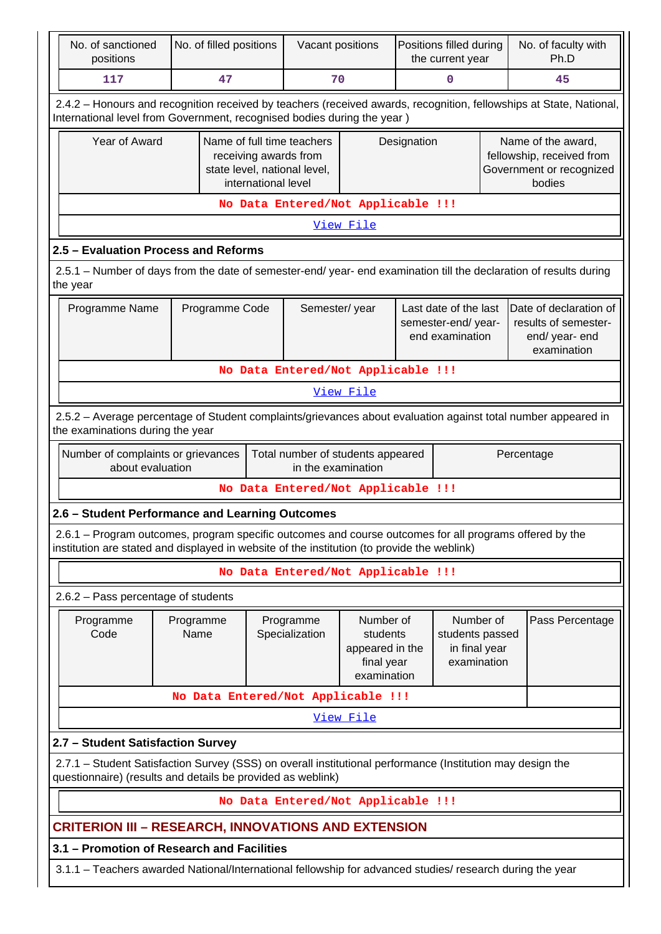| No. of sanctioned<br>positions                                                                                                                                                                         | No. of filled positions                                                                                                                           |                     | Vacant positions                                                                    |                                                                       | Positions filled during<br>the current year |                                                                                 |  | No. of faculty with<br>Ph.D                                                           |  |  |
|--------------------------------------------------------------------------------------------------------------------------------------------------------------------------------------------------------|---------------------------------------------------------------------------------------------------------------------------------------------------|---------------------|-------------------------------------------------------------------------------------|-----------------------------------------------------------------------|---------------------------------------------|---------------------------------------------------------------------------------|--|---------------------------------------------------------------------------------------|--|--|
| 117                                                                                                                                                                                                    | 47                                                                                                                                                |                     | 70                                                                                  |                                                                       |                                             | 0                                                                               |  | 45                                                                                    |  |  |
| 2.4.2 - Honours and recognition received by teachers (received awards, recognition, fellowships at State, National,<br>International level from Government, recognised bodies during the year )        |                                                                                                                                                   |                     |                                                                                     |                                                                       |                                             |                                                                                 |  |                                                                                       |  |  |
| Year of Award                                                                                                                                                                                          |                                                                                                                                                   | international level | Name of full time teachers<br>receiving awards from<br>state level, national level, |                                                                       | Designation                                 |                                                                                 |  | Name of the award,<br>fellowship, received from<br>Government or recognized<br>bodies |  |  |
|                                                                                                                                                                                                        |                                                                                                                                                   |                     | No Data Entered/Not Applicable !!!                                                  |                                                                       |                                             |                                                                                 |  |                                                                                       |  |  |
|                                                                                                                                                                                                        |                                                                                                                                                   |                     |                                                                                     | View File                                                             |                                             |                                                                                 |  |                                                                                       |  |  |
| 2.5 - Evaluation Process and Reforms                                                                                                                                                                   |                                                                                                                                                   |                     |                                                                                     |                                                                       |                                             |                                                                                 |  |                                                                                       |  |  |
| 2.5.1 – Number of days from the date of semester-end/ year- end examination till the declaration of results during<br>the year                                                                         |                                                                                                                                                   |                     |                                                                                     |                                                                       |                                             |                                                                                 |  |                                                                                       |  |  |
| Programme Name                                                                                                                                                                                         |                                                                                                                                                   | Semester/year       |                                                                                     | Last date of the last<br>semester-end/year-<br>end examination        |                                             | Date of declaration of<br>results of semester-<br>end/ year- end<br>examination |  |                                                                                       |  |  |
|                                                                                                                                                                                                        |                                                                                                                                                   |                     | No Data Entered/Not Applicable !!!                                                  |                                                                       |                                             |                                                                                 |  |                                                                                       |  |  |
|                                                                                                                                                                                                        | View File                                                                                                                                         |                     |                                                                                     |                                                                       |                                             |                                                                                 |  |                                                                                       |  |  |
|                                                                                                                                                                                                        | 2.5.2 - Average percentage of Student complaints/grievances about evaluation against total number appeared in<br>the examinations during the year |                     |                                                                                     |                                                                       |                                             |                                                                                 |  |                                                                                       |  |  |
| Number of complaints or grievances<br>about evaluation                                                                                                                                                 |                                                                                                                                                   |                     | Total number of students appeared<br>in the examination                             |                                                                       |                                             |                                                                                 |  | Percentage                                                                            |  |  |
|                                                                                                                                                                                                        |                                                                                                                                                   |                     | No Data Entered/Not Applicable !!!                                                  |                                                                       |                                             |                                                                                 |  |                                                                                       |  |  |
| 2.6 - Student Performance and Learning Outcomes                                                                                                                                                        |                                                                                                                                                   |                     |                                                                                     |                                                                       |                                             |                                                                                 |  |                                                                                       |  |  |
| 2.6.1 - Program outcomes, program specific outcomes and course outcomes for all programs offered by the<br>institution are stated and displayed in website of the institution (to provide the weblink) |                                                                                                                                                   |                     |                                                                                     |                                                                       |                                             |                                                                                 |  |                                                                                       |  |  |
|                                                                                                                                                                                                        |                                                                                                                                                   |                     | No Data Entered/Not Applicable !!!                                                  |                                                                       |                                             |                                                                                 |  |                                                                                       |  |  |
| 2.6.2 - Pass percentage of students                                                                                                                                                                    |                                                                                                                                                   |                     |                                                                                     |                                                                       |                                             |                                                                                 |  |                                                                                       |  |  |
| Programme<br>Code                                                                                                                                                                                      | Programme<br>Name                                                                                                                                 |                     | Programme<br>Specialization                                                         | Number of<br>students<br>appeared in the<br>final year<br>examination |                                             | Number of<br>students passed<br>in final year<br>examination                    |  | Pass Percentage                                                                       |  |  |
|                                                                                                                                                                                                        | No Data Entered/Not Applicable !!!                                                                                                                |                     |                                                                                     |                                                                       |                                             |                                                                                 |  |                                                                                       |  |  |
|                                                                                                                                                                                                        |                                                                                                                                                   |                     |                                                                                     | <u>View File</u>                                                      |                                             |                                                                                 |  |                                                                                       |  |  |
| 2.7 - Student Satisfaction Survey                                                                                                                                                                      |                                                                                                                                                   |                     |                                                                                     |                                                                       |                                             |                                                                                 |  |                                                                                       |  |  |
| 2.7.1 - Student Satisfaction Survey (SSS) on overall institutional performance (Institution may design the<br>questionnaire) (results and details be provided as weblink)                              |                                                                                                                                                   |                     |                                                                                     |                                                                       |                                             |                                                                                 |  |                                                                                       |  |  |
|                                                                                                                                                                                                        |                                                                                                                                                   |                     | No Data Entered/Not Applicable !!!                                                  |                                                                       |                                             |                                                                                 |  |                                                                                       |  |  |
| <b>CRITERION III - RESEARCH, INNOVATIONS AND EXTENSION</b>                                                                                                                                             |                                                                                                                                                   |                     |                                                                                     |                                                                       |                                             |                                                                                 |  |                                                                                       |  |  |
| 3.1 - Promotion of Research and Facilities                                                                                                                                                             |                                                                                                                                                   |                     |                                                                                     |                                                                       |                                             |                                                                                 |  |                                                                                       |  |  |
| 3.1.1 – Teachers awarded National/International fellowship for advanced studies/ research during the year                                                                                              |                                                                                                                                                   |                     |                                                                                     |                                                                       |                                             |                                                                                 |  |                                                                                       |  |  |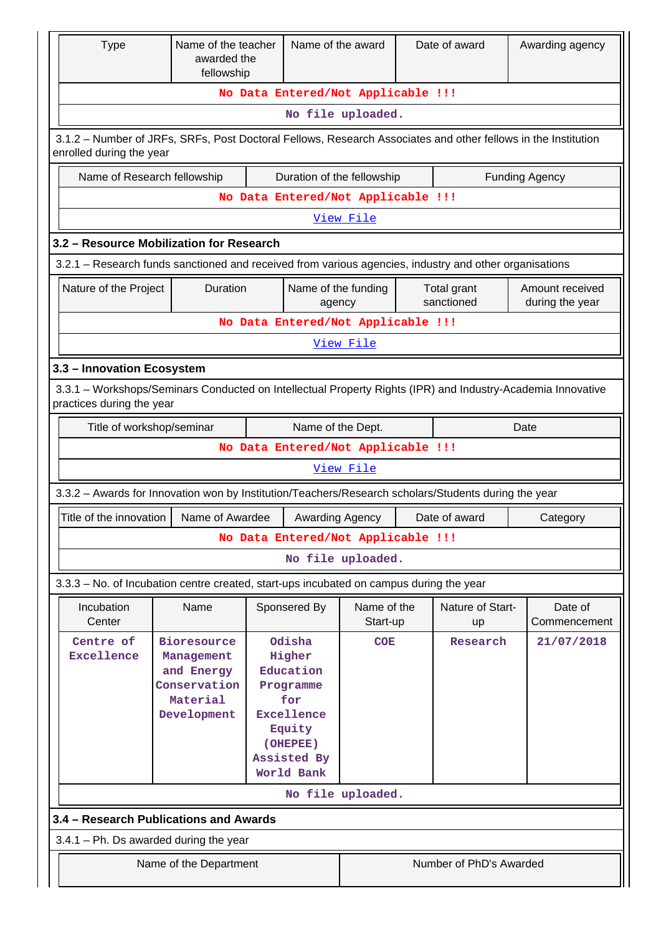| <b>Type</b>                                                                                                                               | Name of the teacher<br>awarded the<br>fellowship                                          |  | Name of the award                                                                                                  |                                    |  | Date of award           | Awarding agency         |  |  |  |  |
|-------------------------------------------------------------------------------------------------------------------------------------------|-------------------------------------------------------------------------------------------|--|--------------------------------------------------------------------------------------------------------------------|------------------------------------|--|-------------------------|-------------------------|--|--|--|--|
|                                                                                                                                           |                                                                                           |  |                                                                                                                    | No Data Entered/Not Applicable !!! |  |                         |                         |  |  |  |  |
|                                                                                                                                           |                                                                                           |  |                                                                                                                    | No file uploaded.                  |  |                         |                         |  |  |  |  |
| 3.1.2 – Number of JRFs, SRFs, Post Doctoral Fellows, Research Associates and other fellows in the Institution<br>enrolled during the year |                                                                                           |  |                                                                                                                    |                                    |  |                         |                         |  |  |  |  |
|                                                                                                                                           | Name of Research fellowship                                                               |  |                                                                                                                    | Duration of the fellowship         |  |                         | <b>Funding Agency</b>   |  |  |  |  |
|                                                                                                                                           |                                                                                           |  |                                                                                                                    | No Data Entered/Not Applicable !!! |  |                         |                         |  |  |  |  |
|                                                                                                                                           |                                                                                           |  |                                                                                                                    | View File                          |  |                         |                         |  |  |  |  |
|                                                                                                                                           | 3.2 - Resource Mobilization for Research                                                  |  |                                                                                                                    |                                    |  |                         |                         |  |  |  |  |
| 3.2.1 – Research funds sanctioned and received from various agencies, industry and other organisations                                    |                                                                                           |  |                                                                                                                    |                                    |  |                         |                         |  |  |  |  |
| Nature of the Project                                                                                                                     | Duration                                                                                  |  | Name of the funding                                                                                                |                                    |  | Total grant             | Amount received         |  |  |  |  |
|                                                                                                                                           |                                                                                           |  | agency                                                                                                             |                                    |  | sanctioned              | during the year         |  |  |  |  |
|                                                                                                                                           |                                                                                           |  |                                                                                                                    | No Data Entered/Not Applicable !!! |  |                         |                         |  |  |  |  |
| View File                                                                                                                                 |                                                                                           |  |                                                                                                                    |                                    |  |                         |                         |  |  |  |  |
| 3.3 - Innovation Ecosystem                                                                                                                |                                                                                           |  |                                                                                                                    |                                    |  |                         |                         |  |  |  |  |
| 3.3.1 - Workshops/Seminars Conducted on Intellectual Property Rights (IPR) and Industry-Academia Innovative<br>practices during the year  |                                                                                           |  |                                                                                                                    |                                    |  |                         |                         |  |  |  |  |
|                                                                                                                                           | Name of the Dept.<br>Title of workshop/seminar<br>Date                                    |  |                                                                                                                    |                                    |  |                         |                         |  |  |  |  |
|                                                                                                                                           |                                                                                           |  |                                                                                                                    | No Data Entered/Not Applicable !!! |  |                         |                         |  |  |  |  |
|                                                                                                                                           |                                                                                           |  |                                                                                                                    | View File                          |  |                         |                         |  |  |  |  |
| 3.3.2 - Awards for Innovation won by Institution/Teachers/Research scholars/Students during the year                                      |                                                                                           |  |                                                                                                                    |                                    |  |                         |                         |  |  |  |  |
| Title of the innovation                                                                                                                   | Name of Awardee                                                                           |  | Awarding Agency                                                                                                    |                                    |  | Date of award           | Category                |  |  |  |  |
|                                                                                                                                           |                                                                                           |  |                                                                                                                    | No Data Entered/Not Applicable !!! |  |                         |                         |  |  |  |  |
|                                                                                                                                           |                                                                                           |  |                                                                                                                    | No file uploaded.                  |  |                         |                         |  |  |  |  |
|                                                                                                                                           |                                                                                           |  |                                                                                                                    |                                    |  |                         |                         |  |  |  |  |
| 3.3.3 - No. of Incubation centre created, start-ups incubated on campus during the year                                                   |                                                                                           |  |                                                                                                                    |                                    |  |                         |                         |  |  |  |  |
| Incubation<br>Center                                                                                                                      | Name                                                                                      |  | Sponsered By                                                                                                       | Name of the<br>Start-up            |  | Nature of Start-<br>up  | Date of<br>Commencement |  |  |  |  |
| Centre of<br>Excellence                                                                                                                   | <b>Bioresource</b><br>Management<br>and Energy<br>Conservation<br>Material<br>Development |  | Odisha<br>Higher<br>Education<br>Programme<br>for<br>Excellence<br>Equity<br>(OHEPEE)<br>Assisted By<br>World Bank | <b>COE</b><br>No file uploaded.    |  | Research                | 21/07/2018              |  |  |  |  |
|                                                                                                                                           |                                                                                           |  |                                                                                                                    |                                    |  |                         |                         |  |  |  |  |
| 3.4 - Research Publications and Awards                                                                                                    |                                                                                           |  |                                                                                                                    |                                    |  |                         |                         |  |  |  |  |
| $3.4.1$ – Ph. Ds awarded during the year                                                                                                  |                                                                                           |  |                                                                                                                    |                                    |  |                         |                         |  |  |  |  |
|                                                                                                                                           | Name of the Department                                                                    |  |                                                                                                                    |                                    |  | Number of PhD's Awarded |                         |  |  |  |  |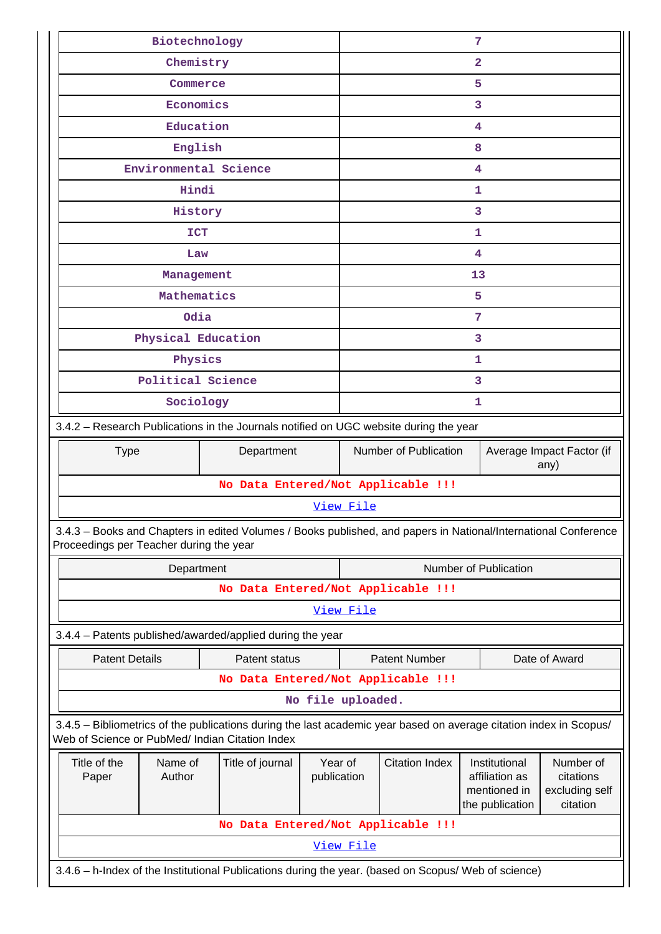| Biotechnology                                                                                                                                                         |                                    |                   |                                                            |                       | $7\phantom{.0}$                                                    |                                                      |  |  |  |
|-----------------------------------------------------------------------------------------------------------------------------------------------------------------------|------------------------------------|-------------------|------------------------------------------------------------|-----------------------|--------------------------------------------------------------------|------------------------------------------------------|--|--|--|
| Chemistry                                                                                                                                                             |                                    |                   |                                                            |                       | $\overline{2}$                                                     |                                                      |  |  |  |
| Commerce                                                                                                                                                              |                                    |                   |                                                            |                       | 5                                                                  |                                                      |  |  |  |
| Economics                                                                                                                                                             |                                    |                   |                                                            |                       | 3                                                                  |                                                      |  |  |  |
| Education                                                                                                                                                             |                                    |                   |                                                            |                       | 4                                                                  |                                                      |  |  |  |
| English                                                                                                                                                               |                                    |                   | 8                                                          |                       |                                                                    |                                                      |  |  |  |
| Environmental Science                                                                                                                                                 |                                    |                   | 4                                                          |                       |                                                                    |                                                      |  |  |  |
| Hindi                                                                                                                                                                 |                                    |                   | 1                                                          |                       |                                                                    |                                                      |  |  |  |
| History                                                                                                                                                               |                                    |                   |                                                            |                       | 3                                                                  |                                                      |  |  |  |
| <b>ICT</b>                                                                                                                                                            |                                    |                   |                                                            |                       | 1                                                                  |                                                      |  |  |  |
| Law                                                                                                                                                                   |                                    |                   |                                                            |                       | 4                                                                  |                                                      |  |  |  |
| Management                                                                                                                                                            |                                    |                   |                                                            |                       | 13                                                                 |                                                      |  |  |  |
| Mathematics                                                                                                                                                           |                                    |                   |                                                            |                       | 5                                                                  |                                                      |  |  |  |
| Odia                                                                                                                                                                  |                                    |                   |                                                            |                       | 7                                                                  |                                                      |  |  |  |
| Physical Education                                                                                                                                                    |                                    |                   |                                                            |                       | 3                                                                  |                                                      |  |  |  |
| Physics                                                                                                                                                               |                                    |                   |                                                            |                       | 1                                                                  |                                                      |  |  |  |
| Political Science                                                                                                                                                     |                                    |                   |                                                            |                       | 3                                                                  |                                                      |  |  |  |
| Sociology                                                                                                                                                             |                                    |                   | 1                                                          |                       |                                                                    |                                                      |  |  |  |
| 3.4.2 - Research Publications in the Journals notified on UGC website during the year                                                                                 |                                    |                   |                                                            |                       |                                                                    |                                                      |  |  |  |
| <b>Type</b>                                                                                                                                                           | Department                         |                   | Number of Publication<br>Average Impact Factor (if<br>any) |                       |                                                                    |                                                      |  |  |  |
|                                                                                                                                                                       | No Data Entered/Not Applicable !!! |                   |                                                            |                       |                                                                    |                                                      |  |  |  |
|                                                                                                                                                                       |                                    |                   | View File                                                  |                       |                                                                    |                                                      |  |  |  |
| 3.4.3 - Books and Chapters in edited Volumes / Books published, and papers in National/International Conference<br>Proceedings per Teacher during the year            |                                    |                   |                                                            |                       |                                                                    |                                                      |  |  |  |
| Department                                                                                                                                                            |                                    |                   | Number of Publication                                      |                       |                                                                    |                                                      |  |  |  |
|                                                                                                                                                                       |                                    |                   | No Data Entered/Not Applicable !!!                         |                       |                                                                    |                                                      |  |  |  |
|                                                                                                                                                                       |                                    |                   | View File                                                  |                       |                                                                    |                                                      |  |  |  |
| 3.4.4 - Patents published/awarded/applied during the year                                                                                                             |                                    |                   |                                                            |                       |                                                                    |                                                      |  |  |  |
| <b>Patent Details</b>                                                                                                                                                 | Patent status                      |                   |                                                            | <b>Patent Number</b>  |                                                                    | Date of Award                                        |  |  |  |
|                                                                                                                                                                       | No Data Entered/Not Applicable !!! |                   |                                                            |                       |                                                                    |                                                      |  |  |  |
|                                                                                                                                                                       |                                    | No file uploaded. |                                                            |                       |                                                                    |                                                      |  |  |  |
| 3.4.5 - Bibliometrics of the publications during the last academic year based on average citation index in Scopus/<br>Web of Science or PubMed/ Indian Citation Index |                                    |                   |                                                            |                       |                                                                    |                                                      |  |  |  |
| Title of the<br>Author<br>Paper                                                                                                                                       | Name of<br>Title of journal        |                   | Year of<br>publication                                     | <b>Citation Index</b> | Institutional<br>affiliation as<br>mentioned in<br>the publication | Number of<br>citations<br>excluding self<br>citation |  |  |  |
|                                                                                                                                                                       | No Data Entered/Not Applicable !!! |                   |                                                            |                       |                                                                    |                                                      |  |  |  |
|                                                                                                                                                                       |                                    |                   | View File                                                  |                       |                                                                    |                                                      |  |  |  |
| 3.4.6 - h-Index of the Institutional Publications during the year. (based on Scopus/ Web of science)                                                                  |                                    |                   |                                                            |                       |                                                                    |                                                      |  |  |  |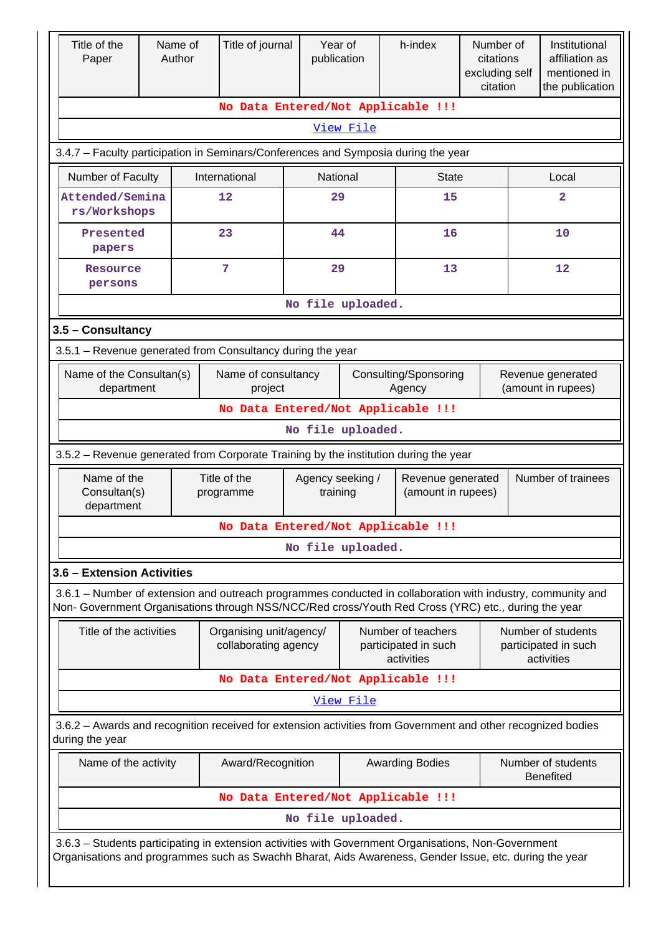| Title of the<br>Paper                                                                                                                                                                                              |    | Name of<br>Author | Title of journal                                |                   | Year of<br>publication       | h-index                                                  |              | Number of<br>citations<br>excluding self<br>citation |  | Institutional<br>affiliation as<br>mentioned in<br>the publication |
|--------------------------------------------------------------------------------------------------------------------------------------------------------------------------------------------------------------------|----|-------------------|-------------------------------------------------|-------------------|------------------------------|----------------------------------------------------------|--------------|------------------------------------------------------|--|--------------------------------------------------------------------|
|                                                                                                                                                                                                                    |    |                   | No Data Entered/Not Applicable !!!              |                   |                              |                                                          |              |                                                      |  |                                                                    |
|                                                                                                                                                                                                                    |    |                   |                                                 |                   | View File                    |                                                          |              |                                                      |  |                                                                    |
| 3.4.7 - Faculty participation in Seminars/Conferences and Symposia during the year                                                                                                                                 |    |                   |                                                 |                   |                              |                                                          |              |                                                      |  |                                                                    |
| Number of Faculty                                                                                                                                                                                                  |    |                   | International                                   |                   | National                     |                                                          | <b>State</b> |                                                      |  | Local                                                              |
| Attended/Semina<br>rs/Workshops                                                                                                                                                                                    | 12 |                   |                                                 |                   | 29                           |                                                          | 15           |                                                      |  | $\overline{2}$                                                     |
| Presented<br>papers                                                                                                                                                                                                |    |                   | 23                                              |                   | 44                           |                                                          | 16           |                                                      |  | 10                                                                 |
| Resource<br>persons                                                                                                                                                                                                |    |                   | 7                                               |                   | 29                           |                                                          | 13           |                                                      |  | 12                                                                 |
|                                                                                                                                                                                                                    |    |                   |                                                 | No file uploaded. |                              |                                                          |              |                                                      |  |                                                                    |
| 3.5 - Consultancy                                                                                                                                                                                                  |    |                   |                                                 |                   |                              |                                                          |              |                                                      |  |                                                                    |
| 3.5.1 - Revenue generated from Consultancy during the year                                                                                                                                                         |    |                   |                                                 |                   |                              |                                                          |              |                                                      |  |                                                                    |
| Name of the Consultan(s)<br>department                                                                                                                                                                             |    |                   | Name of consultancy<br>project                  |                   |                              | Consulting/Sponsoring<br>Agency                          |              |                                                      |  | Revenue generated<br>(amount in rupees)                            |
| No Data Entered/Not Applicable !!!                                                                                                                                                                                 |    |                   |                                                 |                   |                              |                                                          |              |                                                      |  |                                                                    |
|                                                                                                                                                                                                                    |    |                   |                                                 | No file uploaded. |                              |                                                          |              |                                                      |  |                                                                    |
| 3.5.2 - Revenue generated from Corporate Training by the institution during the year                                                                                                                               |    |                   |                                                 |                   |                              |                                                          |              |                                                      |  |                                                                    |
| Name of the<br>Consultan(s)<br>department                                                                                                                                                                          |    |                   | Title of the<br>programme                       |                   | Agency seeking /<br>training | Revenue generated<br>(amount in rupees)                  |              |                                                      |  | Number of trainees                                                 |
|                                                                                                                                                                                                                    |    |                   | No Data Entered/Not Applicable !!!              |                   |                              |                                                          |              |                                                      |  |                                                                    |
|                                                                                                                                                                                                                    |    |                   |                                                 | No file uploaded. |                              |                                                          |              |                                                      |  |                                                                    |
| 3.6 - Extension Activities                                                                                                                                                                                         |    |                   |                                                 |                   |                              |                                                          |              |                                                      |  |                                                                    |
| 3.6.1 – Number of extension and outreach programmes conducted in collaboration with industry, community and<br>Non- Government Organisations through NSS/NCC/Red cross/Youth Red Cross (YRC) etc., during the year |    |                   |                                                 |                   |                              |                                                          |              |                                                      |  |                                                                    |
| Title of the activities                                                                                                                                                                                            |    |                   | Organising unit/agency/<br>collaborating agency |                   |                              | Number of teachers<br>participated in such<br>activities |              |                                                      |  | Number of students<br>participated in such<br>activities           |
|                                                                                                                                                                                                                    |    |                   | No Data Entered/Not Applicable !!!              |                   |                              |                                                          |              |                                                      |  |                                                                    |
|                                                                                                                                                                                                                    |    |                   |                                                 |                   | <u>View File</u>             |                                                          |              |                                                      |  |                                                                    |
| 3.6.2 - Awards and recognition received for extension activities from Government and other recognized bodies<br>during the year                                                                                    |    |                   |                                                 |                   |                              |                                                          |              |                                                      |  |                                                                    |
| Name of the activity                                                                                                                                                                                               |    |                   | Award/Recognition                               |                   |                              | <b>Awarding Bodies</b>                                   |              |                                                      |  | Number of students<br><b>Benefited</b>                             |
|                                                                                                                                                                                                                    |    |                   | No Data Entered/Not Applicable !!!              |                   |                              |                                                          |              |                                                      |  |                                                                    |
|                                                                                                                                                                                                                    |    |                   |                                                 | No file uploaded. |                              |                                                          |              |                                                      |  |                                                                    |
| 3.6.3 - Students participating in extension activities with Government Organisations, Non-Government<br>Organisations and programmes such as Swachh Bharat, Aids Awareness, Gender Issue, etc. during the year     |    |                   |                                                 |                   |                              |                                                          |              |                                                      |  |                                                                    |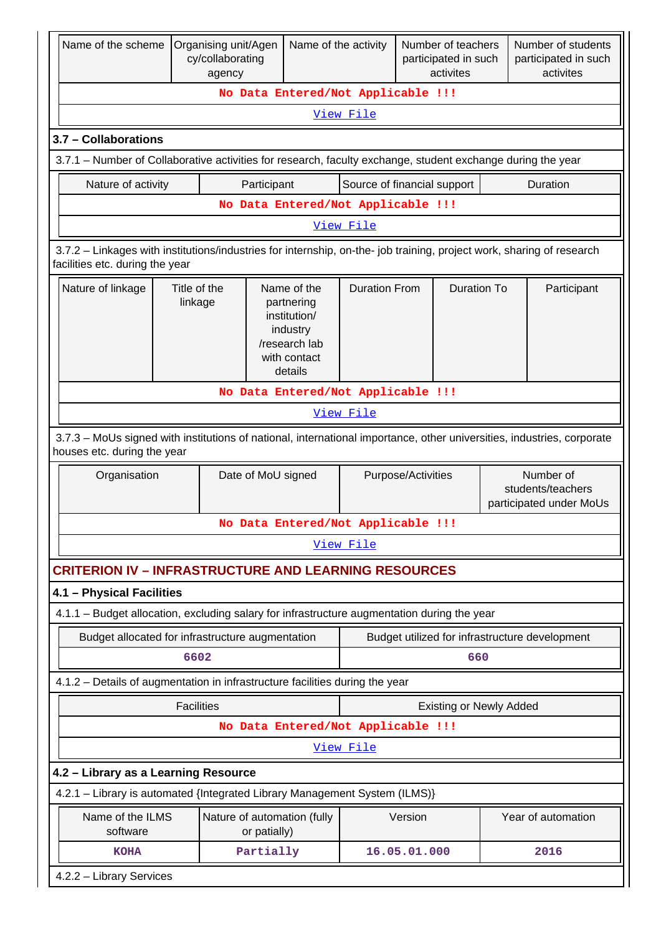| Name of the scheme                                                                                                                                       |                                                                                                                                                       | Organising unit/Agen<br>cy/collaborating<br>agency |                                                                                                   |                                    | Name of the activity        |                    | Number of teachers<br>participated in such<br>activites |             | Number of students<br>participated in such<br>activites   |  |
|----------------------------------------------------------------------------------------------------------------------------------------------------------|-------------------------------------------------------------------------------------------------------------------------------------------------------|----------------------------------------------------|---------------------------------------------------------------------------------------------------|------------------------------------|-----------------------------|--------------------|---------------------------------------------------------|-------------|-----------------------------------------------------------|--|
|                                                                                                                                                          |                                                                                                                                                       |                                                    |                                                                                                   | No Data Entered/Not Applicable !!! |                             |                    |                                                         |             |                                                           |  |
|                                                                                                                                                          |                                                                                                                                                       |                                                    |                                                                                                   |                                    | View File                   |                    |                                                         |             |                                                           |  |
| 3.7 - Collaborations                                                                                                                                     |                                                                                                                                                       |                                                    |                                                                                                   |                                    |                             |                    |                                                         |             |                                                           |  |
| 3.7.1 – Number of Collaborative activities for research, faculty exchange, student exchange during the year                                              |                                                                                                                                                       |                                                    |                                                                                                   |                                    |                             |                    |                                                         |             |                                                           |  |
| Nature of activity                                                                                                                                       |                                                                                                                                                       |                                                    | Participant                                                                                       |                                    | Source of financial support |                    |                                                         |             | Duration                                                  |  |
|                                                                                                                                                          |                                                                                                                                                       |                                                    |                                                                                                   | No Data Entered/Not Applicable !!! |                             |                    |                                                         |             |                                                           |  |
|                                                                                                                                                          |                                                                                                                                                       |                                                    |                                                                                                   |                                    | View File                   |                    |                                                         |             |                                                           |  |
| 3.7.2 - Linkages with institutions/industries for internship, on-the- job training, project work, sharing of research<br>facilities etc. during the year |                                                                                                                                                       |                                                    |                                                                                                   |                                    |                             |                    |                                                         |             |                                                           |  |
| Nature of linkage                                                                                                                                        | Title of the<br>linkage                                                                                                                               |                                                    | Name of the<br>partnering<br>institution/<br>industry<br>/research lab<br>with contact<br>details | <b>Duration From</b>               |                             | <b>Duration To</b> |                                                         | Participant |                                                           |  |
|                                                                                                                                                          |                                                                                                                                                       |                                                    |                                                                                                   | No Data Entered/Not Applicable !!! |                             |                    |                                                         |             |                                                           |  |
|                                                                                                                                                          |                                                                                                                                                       |                                                    |                                                                                                   |                                    | View File                   |                    |                                                         |             |                                                           |  |
|                                                                                                                                                          | 3.7.3 - MoUs signed with institutions of national, international importance, other universities, industries, corporate<br>houses etc. during the year |                                                    |                                                                                                   |                                    |                             |                    |                                                         |             |                                                           |  |
| Organisation                                                                                                                                             |                                                                                                                                                       |                                                    | Date of MoU signed                                                                                |                                    | Purpose/Activities          |                    |                                                         |             | Number of<br>students/teachers<br>participated under MoUs |  |
|                                                                                                                                                          |                                                                                                                                                       |                                                    |                                                                                                   | No Data Entered/Not Applicable !!! |                             |                    |                                                         |             |                                                           |  |
|                                                                                                                                                          |                                                                                                                                                       |                                                    |                                                                                                   |                                    | View File                   |                    |                                                         |             |                                                           |  |
| <b>CRITERION IV - INFRASTRUCTURE AND LEARNING RESOURCES</b>                                                                                              |                                                                                                                                                       |                                                    |                                                                                                   |                                    |                             |                    |                                                         |             |                                                           |  |
| 4.1 - Physical Facilities                                                                                                                                |                                                                                                                                                       |                                                    |                                                                                                   |                                    |                             |                    |                                                         |             |                                                           |  |
| 4.1.1 - Budget allocation, excluding salary for infrastructure augmentation during the year                                                              |                                                                                                                                                       |                                                    |                                                                                                   |                                    |                             |                    |                                                         |             |                                                           |  |
| Budget allocated for infrastructure augmentation                                                                                                         |                                                                                                                                                       |                                                    |                                                                                                   |                                    |                             |                    |                                                         |             | Budget utilized for infrastructure development            |  |
|                                                                                                                                                          | 6602                                                                                                                                                  |                                                    |                                                                                                   |                                    |                             |                    | 660                                                     |             |                                                           |  |
| 4.1.2 - Details of augmentation in infrastructure facilities during the year                                                                             |                                                                                                                                                       |                                                    |                                                                                                   |                                    |                             |                    |                                                         |             |                                                           |  |
|                                                                                                                                                          | <b>Facilities</b>                                                                                                                                     |                                                    |                                                                                                   |                                    |                             |                    | <b>Existing or Newly Added</b>                          |             |                                                           |  |
|                                                                                                                                                          |                                                                                                                                                       |                                                    |                                                                                                   | No Data Entered/Not Applicable !!! |                             |                    |                                                         |             |                                                           |  |
|                                                                                                                                                          |                                                                                                                                                       |                                                    |                                                                                                   |                                    | View File                   |                    |                                                         |             |                                                           |  |
| 4.2 - Library as a Learning Resource                                                                                                                     |                                                                                                                                                       |                                                    |                                                                                                   |                                    |                             |                    |                                                         |             |                                                           |  |
| 4.2.1 - Library is automated {Integrated Library Management System (ILMS)}                                                                               |                                                                                                                                                       |                                                    |                                                                                                   |                                    |                             |                    |                                                         |             |                                                           |  |
| Name of the ILMS<br>software                                                                                                                             |                                                                                                                                                       |                                                    | or patially)                                                                                      | Nature of automation (fully        |                             | Version            |                                                         |             | Year of automation                                        |  |
| <b>KOHA</b>                                                                                                                                              |                                                                                                                                                       |                                                    | Partially                                                                                         |                                    |                             | 16.05.01.000       |                                                         |             | 2016                                                      |  |
| 4.2.2 - Library Services                                                                                                                                 |                                                                                                                                                       |                                                    |                                                                                                   |                                    |                             |                    |                                                         |             |                                                           |  |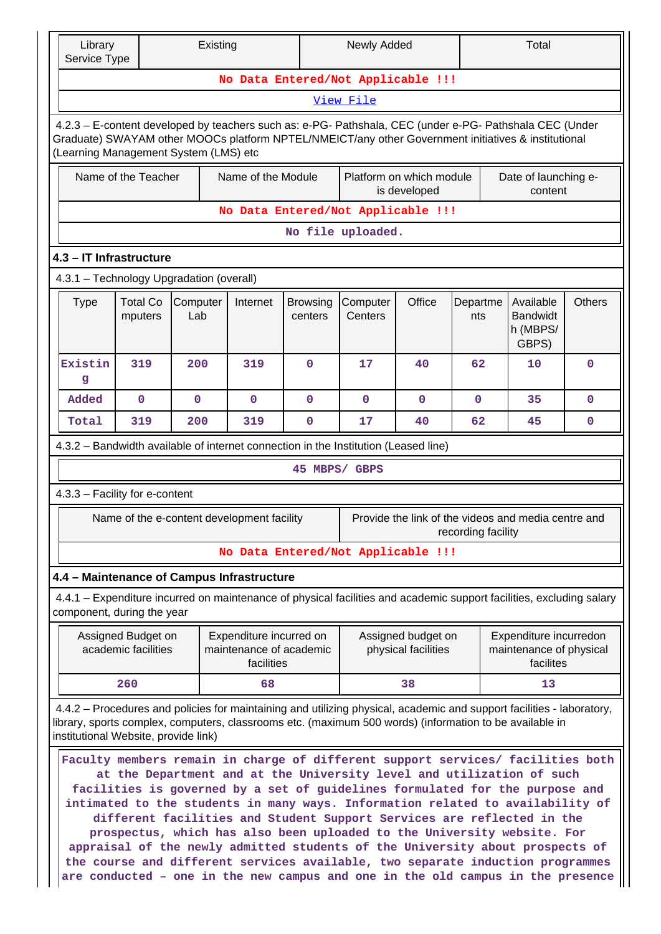| Library<br>Service Type                                                                                                                                                                                                                                                  |                                           | Existing                                   |                                                                  |                            | Newly Added                        |                                           |                    | Total                                                                                                                                                                                                                                                                                                                                                                                                                                                                                                                                                                                                                                                                                                                                 |               |  |  |  |
|--------------------------------------------------------------------------------------------------------------------------------------------------------------------------------------------------------------------------------------------------------------------------|-------------------------------------------|--------------------------------------------|------------------------------------------------------------------|----------------------------|------------------------------------|-------------------------------------------|--------------------|---------------------------------------------------------------------------------------------------------------------------------------------------------------------------------------------------------------------------------------------------------------------------------------------------------------------------------------------------------------------------------------------------------------------------------------------------------------------------------------------------------------------------------------------------------------------------------------------------------------------------------------------------------------------------------------------------------------------------------------|---------------|--|--|--|
| No Data Entered/Not Applicable !!!                                                                                                                                                                                                                                       |                                           |                                            |                                                                  |                            |                                    |                                           |                    |                                                                                                                                                                                                                                                                                                                                                                                                                                                                                                                                                                                                                                                                                                                                       |               |  |  |  |
| View File                                                                                                                                                                                                                                                                |                                           |                                            |                                                                  |                            |                                    |                                           |                    |                                                                                                                                                                                                                                                                                                                                                                                                                                                                                                                                                                                                                                                                                                                                       |               |  |  |  |
| 4.2.3 - E-content developed by teachers such as: e-PG- Pathshala, CEC (under e-PG- Pathshala CEC (Under<br>Graduate) SWAYAM other MOOCs platform NPTEL/NMEICT/any other Government initiatives & institutional<br>(Learning Management System (LMS) etc                  |                                           |                                            |                                                                  |                            |                                    |                                           |                    |                                                                                                                                                                                                                                                                                                                                                                                                                                                                                                                                                                                                                                                                                                                                       |               |  |  |  |
|                                                                                                                                                                                                                                                                          | Name of the Teacher                       |                                            | Name of the Module                                               |                            |                                    | Platform on which module<br>is developed  |                    | Date of launching e-<br>content                                                                                                                                                                                                                                                                                                                                                                                                                                                                                                                                                                                                                                                                                                       |               |  |  |  |
|                                                                                                                                                                                                                                                                          |                                           |                                            |                                                                  |                            | No Data Entered/Not Applicable !!! |                                           |                    |                                                                                                                                                                                                                                                                                                                                                                                                                                                                                                                                                                                                                                                                                                                                       |               |  |  |  |
|                                                                                                                                                                                                                                                                          |                                           |                                            |                                                                  |                            | No file uploaded.                  |                                           |                    |                                                                                                                                                                                                                                                                                                                                                                                                                                                                                                                                                                                                                                                                                                                                       |               |  |  |  |
| 4.3 - IT Infrastructure                                                                                                                                                                                                                                                  |                                           |                                            |                                                                  |                            |                                    |                                           |                    |                                                                                                                                                                                                                                                                                                                                                                                                                                                                                                                                                                                                                                                                                                                                       |               |  |  |  |
| 4.3.1 - Technology Upgradation (overall)                                                                                                                                                                                                                                 |                                           |                                            |                                                                  |                            |                                    |                                           |                    |                                                                                                                                                                                                                                                                                                                                                                                                                                                                                                                                                                                                                                                                                                                                       |               |  |  |  |
| <b>Type</b>                                                                                                                                                                                                                                                              | <b>Total Co</b><br>mputers                | Computer<br>Lab                            | Internet                                                         | <b>Browsing</b><br>centers | Computer<br>Centers                | Office                                    | Departme<br>nts    | Available<br><b>Bandwidt</b><br>h (MBPS/<br>GBPS)                                                                                                                                                                                                                                                                                                                                                                                                                                                                                                                                                                                                                                                                                     | <b>Others</b> |  |  |  |
| Existin<br>g                                                                                                                                                                                                                                                             | 319                                       | 200                                        | 319                                                              | $\Omega$                   | 17                                 | 40                                        | 62                 | 10                                                                                                                                                                                                                                                                                                                                                                                                                                                                                                                                                                                                                                                                                                                                    | $\Omega$      |  |  |  |
| Added                                                                                                                                                                                                                                                                    | $\mathbf 0$                               | $\mathbf{O}$                               | $\mathbf{O}$                                                     | 0                          | $\Omega$                           | $\mathbf{0}$                              | 0                  | 35                                                                                                                                                                                                                                                                                                                                                                                                                                                                                                                                                                                                                                                                                                                                    | 0             |  |  |  |
| Total                                                                                                                                                                                                                                                                    | 319                                       | 200                                        | 319                                                              | 0                          | 17                                 | 40                                        | 62                 | 45                                                                                                                                                                                                                                                                                                                                                                                                                                                                                                                                                                                                                                                                                                                                    | 0             |  |  |  |
| 4.3.2 - Bandwidth available of internet connection in the Institution (Leased line)                                                                                                                                                                                      |                                           |                                            |                                                                  |                            |                                    |                                           |                    |                                                                                                                                                                                                                                                                                                                                                                                                                                                                                                                                                                                                                                                                                                                                       |               |  |  |  |
|                                                                                                                                                                                                                                                                          |                                           |                                            |                                                                  |                            | 45 MBPS/ GBPS                      |                                           |                    |                                                                                                                                                                                                                                                                                                                                                                                                                                                                                                                                                                                                                                                                                                                                       |               |  |  |  |
| 4.3.3 - Facility for e-content                                                                                                                                                                                                                                           |                                           |                                            |                                                                  |                            |                                    |                                           |                    |                                                                                                                                                                                                                                                                                                                                                                                                                                                                                                                                                                                                                                                                                                                                       |               |  |  |  |
|                                                                                                                                                                                                                                                                          |                                           | Name of the e-content development facility |                                                                  |                            |                                    |                                           | recording facility | Provide the link of the videos and media centre and                                                                                                                                                                                                                                                                                                                                                                                                                                                                                                                                                                                                                                                                                   |               |  |  |  |
|                                                                                                                                                                                                                                                                          |                                           |                                            |                                                                  |                            | No Data Entered/Not Applicable !!! |                                           |                    |                                                                                                                                                                                                                                                                                                                                                                                                                                                                                                                                                                                                                                                                                                                                       |               |  |  |  |
| 4.4 - Maintenance of Campus Infrastructure                                                                                                                                                                                                                               |                                           |                                            |                                                                  |                            |                                    |                                           |                    |                                                                                                                                                                                                                                                                                                                                                                                                                                                                                                                                                                                                                                                                                                                                       |               |  |  |  |
| 4.4.1 - Expenditure incurred on maintenance of physical facilities and academic support facilities, excluding salary<br>component, during the year                                                                                                                       |                                           |                                            |                                                                  |                            |                                    |                                           |                    |                                                                                                                                                                                                                                                                                                                                                                                                                                                                                                                                                                                                                                                                                                                                       |               |  |  |  |
|                                                                                                                                                                                                                                                                          | Assigned Budget on<br>academic facilities |                                            | Expenditure incurred on<br>maintenance of academic<br>facilities |                            |                                    | Assigned budget on<br>physical facilities |                    | Expenditure incurredon<br>maintenance of physical<br>facilites                                                                                                                                                                                                                                                                                                                                                                                                                                                                                                                                                                                                                                                                        |               |  |  |  |
|                                                                                                                                                                                                                                                                          | 260                                       |                                            | 68                                                               |                            |                                    | 38                                        |                    | 13                                                                                                                                                                                                                                                                                                                                                                                                                                                                                                                                                                                                                                                                                                                                    |               |  |  |  |
| 4.4.2 - Procedures and policies for maintaining and utilizing physical, academic and support facilities - laboratory,<br>library, sports complex, computers, classrooms etc. (maximum 500 words) (information to be available in<br>institutional Website, provide link) |                                           |                                            |                                                                  |                            |                                    |                                           |                    |                                                                                                                                                                                                                                                                                                                                                                                                                                                                                                                                                                                                                                                                                                                                       |               |  |  |  |
|                                                                                                                                                                                                                                                                          |                                           |                                            |                                                                  |                            |                                    |                                           |                    | Faculty members remain in charge of different support services/ facilities both<br>at the Department and at the University level and utilization of such<br>facilities is governed by a set of guidelines formulated for the purpose and<br>intimated to the students in many ways. Information related to availability of<br>different facilities and Student Support Services are reflected in the<br>prospectus, which has also been uploaded to the University website. For<br>appraisal of the newly admitted students of the University about prospects of<br>the course and different services available, two separate induction programmes<br>are conducted - one in the new campus and one in the old campus in the presence |               |  |  |  |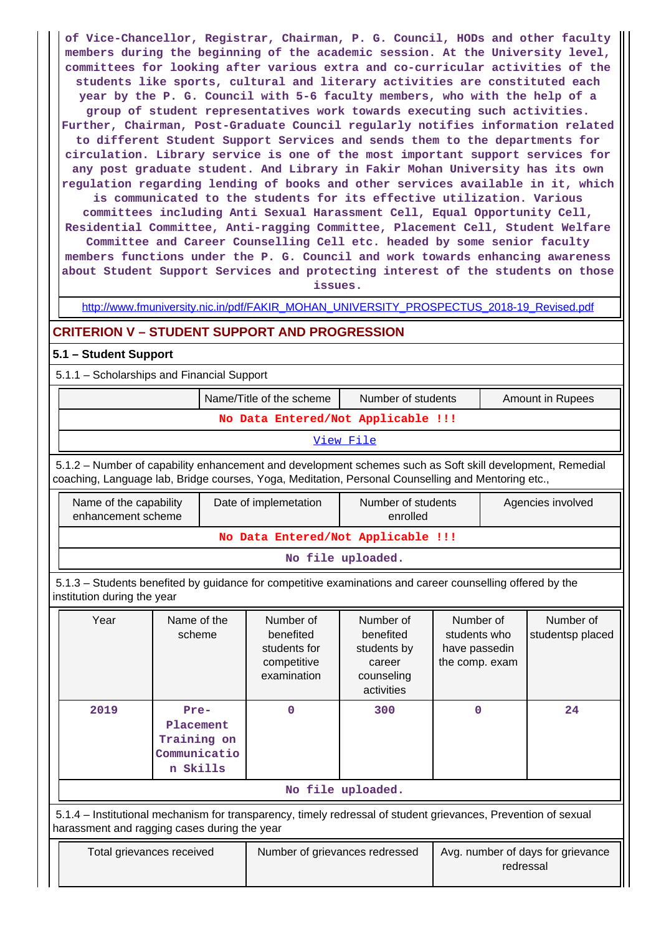**of Vice-Chancellor, Registrar, Chairman, P. G. Council, HODs and other faculty members during the beginning of the academic session. At the University level, committees for looking after various extra and co-curricular activities of the students like sports, cultural and literary activities are constituted each year by the P. G. Council with 5-6 faculty members, who with the help of a group of student representatives work towards executing such activities. Further, Chairman, Post-Graduate Council regularly notifies information related to different Student Support Services and sends them to the departments for circulation. Library service is one of the most important support services for any post graduate student. And Library in Fakir Mohan University has its own regulation regarding lending of books and other services available in it, which is communicated to the students for its effective utilization. Various committees including Anti Sexual Harassment Cell, Equal Opportunity Cell, Residential Committee, Anti-ragging Committee, Placement Cell, Student Welfare Committee and Career Counselling Cell etc. headed by some senior faculty members functions under the P. G. Council and work towards enhancing awareness**

**issues.** [http://www.fmuniversity.nic.in/pdf/FAKIR\\_MOHAN\\_UNIVERSITY\\_PROSPECTUS\\_2018-19\\_Revised.pdf](http://www.fmuniversity.nic.in/pdf/FAKIR_MOHAN_UNIVERSITY_PROSPECTUS_2018-19_Revised.pdf)

**about Student Support Services and protecting interest of the students on those**

## **CRITERION V – STUDENT SUPPORT AND PROGRESSION**

### **5.1 – Student Support**

5.1.1 – Scholarships and Financial Support

|                                    |                                                                                                                                                                                                                 |                                                              |  | Name/Title of the scheme                                             | Number of students<br><b>Amount in Rupees</b>                               |                                                              |                   |                               |  |  |  |
|------------------------------------|-----------------------------------------------------------------------------------------------------------------------------------------------------------------------------------------------------------------|--------------------------------------------------------------|--|----------------------------------------------------------------------|-----------------------------------------------------------------------------|--------------------------------------------------------------|-------------------|-------------------------------|--|--|--|
| No Data Entered/Not Applicable !!! |                                                                                                                                                                                                                 |                                                              |  |                                                                      |                                                                             |                                                              |                   |                               |  |  |  |
|                                    |                                                                                                                                                                                                                 |                                                              |  |                                                                      | View File                                                                   |                                                              |                   |                               |  |  |  |
|                                    | 5.1.2 - Number of capability enhancement and development schemes such as Soft skill development, Remedial<br>coaching, Language lab, Bridge courses, Yoga, Meditation, Personal Counselling and Mentoring etc., |                                                              |  |                                                                      |                                                                             |                                                              |                   |                               |  |  |  |
|                                    | Name of the capability<br>enhancement scheme                                                                                                                                                                    |                                                              |  | Date of implemetation                                                | Number of students<br>enrolled                                              |                                                              | Agencies involved |                               |  |  |  |
|                                    |                                                                                                                                                                                                                 |                                                              |  |                                                                      | No Data Entered/Not Applicable !!!                                          |                                                              |                   |                               |  |  |  |
|                                    |                                                                                                                                                                                                                 |                                                              |  |                                                                      | No file uploaded.                                                           |                                                              |                   |                               |  |  |  |
|                                    | 5.1.3 – Students benefited by guidance for competitive examinations and career counselling offered by the<br>institution during the year                                                                        |                                                              |  |                                                                      |                                                                             |                                                              |                   |                               |  |  |  |
|                                    | Year                                                                                                                                                                                                            | Name of the<br>scheme                                        |  | Number of<br>benefited<br>students for<br>competitive<br>examination | Number of<br>benefited<br>students by<br>career<br>counseling<br>activities | Number of<br>students who<br>have passedin<br>the comp. exam |                   | Number of<br>studentsp placed |  |  |  |
|                                    | 2019                                                                                                                                                                                                            | Pre-<br>Placement<br>Training on<br>Communicatio<br>n Skills |  | 0                                                                    | 300                                                                         | $\mathbf 0$                                                  |                   | 24                            |  |  |  |
|                                    |                                                                                                                                                                                                                 |                                                              |  |                                                                      | No file uploaded.                                                           |                                                              |                   |                               |  |  |  |
|                                    | 5.1.4 – Institutional mechanism for transparency, timely redressal of student grievances, Prevention of sexual<br>harassment and ragging cases during the year                                                  |                                                              |  |                                                                      |                                                                             |                                                              |                   |                               |  |  |  |
|                                    | Total grievances received                                                                                                                                                                                       |                                                              |  | Number of grievances redressed                                       | Avg. number of days for grievance<br>redressal                              |                                                              |                   |                               |  |  |  |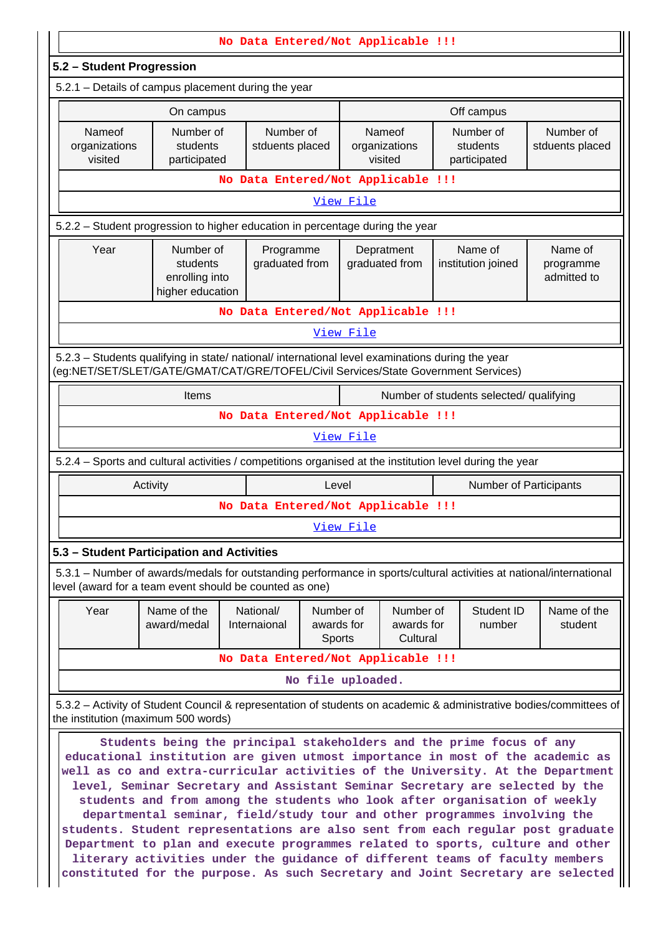| No Data Entered/Not Applicable !!!                                                                                                                        |                                                                                                  |                                    |                                   |                                     |                                                                                                                                                                                                                                                                                                                                                                                                                                                                                                                                                                                                                                                                                                                                                                                                                              |                                     |  |  |  |  |
|-----------------------------------------------------------------------------------------------------------------------------------------------------------|--------------------------------------------------------------------------------------------------|------------------------------------|-----------------------------------|-------------------------------------|------------------------------------------------------------------------------------------------------------------------------------------------------------------------------------------------------------------------------------------------------------------------------------------------------------------------------------------------------------------------------------------------------------------------------------------------------------------------------------------------------------------------------------------------------------------------------------------------------------------------------------------------------------------------------------------------------------------------------------------------------------------------------------------------------------------------------|-------------------------------------|--|--|--|--|
| 5.2 - Student Progression                                                                                                                                 |                                                                                                  |                                    |                                   |                                     |                                                                                                                                                                                                                                                                                                                                                                                                                                                                                                                                                                                                                                                                                                                                                                                                                              |                                     |  |  |  |  |
|                                                                                                                                                           | 5.2.1 - Details of campus placement during the year                                              |                                    |                                   |                                     |                                                                                                                                                                                                                                                                                                                                                                                                                                                                                                                                                                                                                                                                                                                                                                                                                              |                                     |  |  |  |  |
|                                                                                                                                                           | On campus                                                                                        |                                    |                                   |                                     | Off campus                                                                                                                                                                                                                                                                                                                                                                                                                                                                                                                                                                                                                                                                                                                                                                                                                   |                                     |  |  |  |  |
| Nameof<br>organizations<br>visited                                                                                                                        | Number of<br>students<br>participated                                                            | Number of<br>stduents placed       |                                   | Nameof<br>organizations<br>visited  | Number of<br>students<br>participated                                                                                                                                                                                                                                                                                                                                                                                                                                                                                                                                                                                                                                                                                                                                                                                        | Number of<br>stduents placed        |  |  |  |  |
| No Data Entered/Not Applicable !!!                                                                                                                        |                                                                                                  |                                    |                                   |                                     |                                                                                                                                                                                                                                                                                                                                                                                                                                                                                                                                                                                                                                                                                                                                                                                                                              |                                     |  |  |  |  |
| View File                                                                                                                                                 |                                                                                                  |                                    |                                   |                                     |                                                                                                                                                                                                                                                                                                                                                                                                                                                                                                                                                                                                                                                                                                                                                                                                                              |                                     |  |  |  |  |
| 5.2.2 - Student progression to higher education in percentage during the year                                                                             |                                                                                                  |                                    |                                   |                                     |                                                                                                                                                                                                                                                                                                                                                                                                                                                                                                                                                                                                                                                                                                                                                                                                                              |                                     |  |  |  |  |
| Year                                                                                                                                                      | Number of<br>students<br>enrolling into<br>higher education                                      | Programme<br>graduated from        |                                   | Depratment<br>graduated from        | Name of<br>institution joined                                                                                                                                                                                                                                                                                                                                                                                                                                                                                                                                                                                                                                                                                                                                                                                                | Name of<br>programme<br>admitted to |  |  |  |  |
|                                                                                                                                                           |                                                                                                  | No Data Entered/Not Applicable !!! |                                   |                                     |                                                                                                                                                                                                                                                                                                                                                                                                                                                                                                                                                                                                                                                                                                                                                                                                                              |                                     |  |  |  |  |
|                                                                                                                                                           |                                                                                                  |                                    | View File                         |                                     |                                                                                                                                                                                                                                                                                                                                                                                                                                                                                                                                                                                                                                                                                                                                                                                                                              |                                     |  |  |  |  |
|                                                                                                                                                           | 5.2.3 - Students qualifying in state/ national/ international level examinations during the year |                                    |                                   |                                     | (eg:NET/SET/SLET/GATE/GMAT/CAT/GRE/TOFEL/Civil Services/State Government Services)                                                                                                                                                                                                                                                                                                                                                                                                                                                                                                                                                                                                                                                                                                                                           |                                     |  |  |  |  |
|                                                                                                                                                           | Items                                                                                            |                                    |                                   |                                     | Number of students selected/ qualifying                                                                                                                                                                                                                                                                                                                                                                                                                                                                                                                                                                                                                                                                                                                                                                                      |                                     |  |  |  |  |
|                                                                                                                                                           |                                                                                                  | No Data Entered/Not Applicable !!! |                                   |                                     |                                                                                                                                                                                                                                                                                                                                                                                                                                                                                                                                                                                                                                                                                                                                                                                                                              |                                     |  |  |  |  |
|                                                                                                                                                           |                                                                                                  |                                    | View File                         |                                     |                                                                                                                                                                                                                                                                                                                                                                                                                                                                                                                                                                                                                                                                                                                                                                                                                              |                                     |  |  |  |  |
|                                                                                                                                                           |                                                                                                  |                                    |                                   |                                     | 5.2.4 – Sports and cultural activities / competitions organised at the institution level during the year                                                                                                                                                                                                                                                                                                                                                                                                                                                                                                                                                                                                                                                                                                                     |                                     |  |  |  |  |
|                                                                                                                                                           | Activity                                                                                         |                                    | Level                             |                                     |                                                                                                                                                                                                                                                                                                                                                                                                                                                                                                                                                                                                                                                                                                                                                                                                                              | Number of Participants              |  |  |  |  |
|                                                                                                                                                           |                                                                                                  | No Data Entered/Not Applicable !!! |                                   |                                     |                                                                                                                                                                                                                                                                                                                                                                                                                                                                                                                                                                                                                                                                                                                                                                                                                              |                                     |  |  |  |  |
|                                                                                                                                                           |                                                                                                  |                                    | View File                         |                                     |                                                                                                                                                                                                                                                                                                                                                                                                                                                                                                                                                                                                                                                                                                                                                                                                                              |                                     |  |  |  |  |
|                                                                                                                                                           | 5.3 - Student Participation and Activities                                                       |                                    |                                   |                                     |                                                                                                                                                                                                                                                                                                                                                                                                                                                                                                                                                                                                                                                                                                                                                                                                                              |                                     |  |  |  |  |
|                                                                                                                                                           | level (award for a team event should be counted as one)                                          |                                    |                                   |                                     | 5.3.1 - Number of awards/medals for outstanding performance in sports/cultural activities at national/international                                                                                                                                                                                                                                                                                                                                                                                                                                                                                                                                                                                                                                                                                                          |                                     |  |  |  |  |
| Year                                                                                                                                                      | Name of the<br>award/medal                                                                       | National/<br>Internaional          | Number of<br>awards for<br>Sports | Number of<br>awards for<br>Cultural | Student ID<br>number                                                                                                                                                                                                                                                                                                                                                                                                                                                                                                                                                                                                                                                                                                                                                                                                         | Name of the<br>student              |  |  |  |  |
|                                                                                                                                                           |                                                                                                  | No Data Entered/Not Applicable !!! |                                   |                                     |                                                                                                                                                                                                                                                                                                                                                                                                                                                                                                                                                                                                                                                                                                                                                                                                                              |                                     |  |  |  |  |
|                                                                                                                                                           |                                                                                                  |                                    | No file uploaded.                 |                                     |                                                                                                                                                                                                                                                                                                                                                                                                                                                                                                                                                                                                                                                                                                                                                                                                                              |                                     |  |  |  |  |
| 5.3.2 - Activity of Student Council & representation of students on academic & administrative bodies/committees of<br>the institution (maximum 500 words) |                                                                                                  |                                    |                                   |                                     |                                                                                                                                                                                                                                                                                                                                                                                                                                                                                                                                                                                                                                                                                                                                                                                                                              |                                     |  |  |  |  |
|                                                                                                                                                           |                                                                                                  |                                    |                                   |                                     | Students being the principal stakeholders and the prime focus of any<br>educational institution are given utmost importance in most of the academic as<br>well as co and extra-curricular activities of the University. At the Department<br>level, Seminar Secretary and Assistant Seminar Secretary are selected by the<br>students and from among the students who look after organisation of weekly<br>departmental seminar, field/study tour and other programmes involving the<br>students. Student representations are also sent from each regular post graduate<br>Department to plan and execute programmes related to sports, culture and other<br>literary activities under the guidance of different teams of faculty members<br>constituted for the purpose. As such Secretary and Joint Secretary are selected |                                     |  |  |  |  |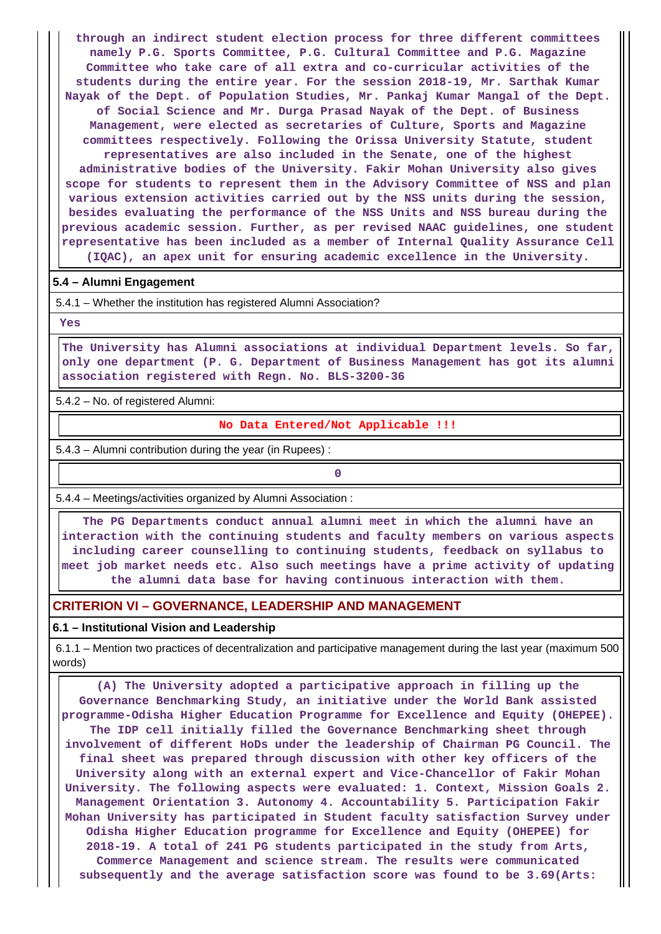**through an indirect student election process for three different committees namely P.G. Sports Committee, P.G. Cultural Committee and P.G. Magazine Committee who take care of all extra and co-curricular activities of the students during the entire year. For the session 2018-19, Mr. Sarthak Kumar Nayak of the Dept. of Population Studies, Mr. Pankaj Kumar Mangal of the Dept. of Social Science and Mr. Durga Prasad Nayak of the Dept. of Business Management, were elected as secretaries of Culture, Sports and Magazine committees respectively. Following the Orissa University Statute, student representatives are also included in the Senate, one of the highest administrative bodies of the University. Fakir Mohan University also gives scope for students to represent them in the Advisory Committee of NSS and plan various extension activities carried out by the NSS units during the session, besides evaluating the performance of the NSS Units and NSS bureau during the previous academic session. Further, as per revised NAAC guidelines, one student representative has been included as a member of Internal Quality Assurance Cell (IQAC), an apex unit for ensuring academic excellence in the University.**

#### **5.4 – Alumni Engagement**

5.4.1 – Whether the institution has registered Alumni Association?

 **Yes**

 **The University has Alumni associations at individual Department levels. So far, only one department (P. G. Department of Business Management has got its alumni association registered with Regn. No. BLS-3200-36**

5.4.2 – No. of registered Alumni:

**No Data Entered/Not Applicable !!!**

5.4.3 – Alumni contribution during the year (in Rupees) :

**0**

5.4.4 – Meetings/activities organized by Alumni Association :

 **The PG Departments conduct annual alumni meet in which the alumni have an interaction with the continuing students and faculty members on various aspects including career counselling to continuing students, feedback on syllabus to meet job market needs etc. Also such meetings have a prime activity of updating the alumni data base for having continuous interaction with them.**

## **CRITERION VI – GOVERNANCE, LEADERSHIP AND MANAGEMENT**

**6.1 – Institutional Vision and Leadership**

 6.1.1 – Mention two practices of decentralization and participative management during the last year (maximum 500 words)

 **(A) The University adopted a participative approach in filling up the Governance Benchmarking Study, an initiative under the World Bank assisted programme-Odisha Higher Education Programme for Excellence and Equity (OHEPEE). The IDP cell initially filled the Governance Benchmarking sheet through involvement of different HoDs under the leadership of Chairman PG Council. The final sheet was prepared through discussion with other key officers of the University along with an external expert and Vice-Chancellor of Fakir Mohan University. The following aspects were evaluated: 1. Context, Mission Goals 2. Management Orientation 3. Autonomy 4. Accountability 5. Participation Fakir Mohan University has participated in Student faculty satisfaction Survey under Odisha Higher Education programme for Excellence and Equity (OHEPEE) for 2018-19. A total of 241 PG students participated in the study from Arts, Commerce Management and science stream. The results were communicated subsequently and the average satisfaction score was found to be 3.69(Arts:**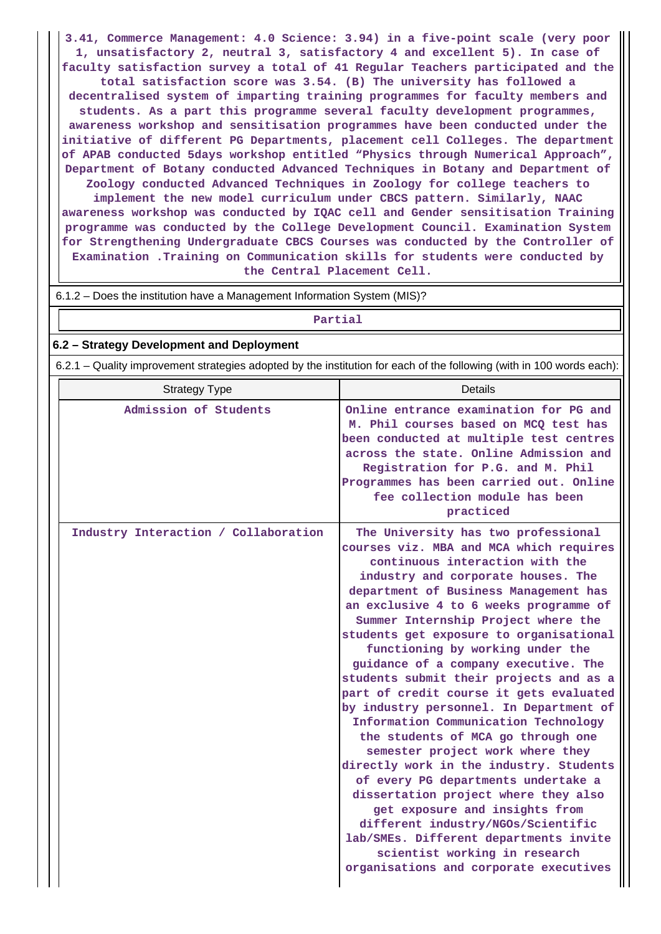**3.41, Commerce Management: 4.0 Science: 3.94) in a five-point scale (very poor 1, unsatisfactory 2, neutral 3, satisfactory 4 and excellent 5). In case of faculty satisfaction survey a total of 41 Regular Teachers participated and the total satisfaction score was 3.54. (B) The university has followed a decentralised system of imparting training programmes for faculty members and students. As a part this programme several faculty development programmes, awareness workshop and sensitisation programmes have been conducted under the initiative of different PG Departments, placement cell Colleges. The department of APAB conducted 5days workshop entitled "Physics through Numerical Approach", Department of Botany conducted Advanced Techniques in Botany and Department of Zoology conducted Advanced Techniques in Zoology for college teachers to implement the new model curriculum under CBCS pattern. Similarly, NAAC awareness workshop was conducted by IQAC cell and Gender sensitisation Training programme was conducted by the College Development Council. Examination System for Strengthening Undergraduate CBCS Courses was conducted by the Controller of Examination .Training on Communication skills for students were conducted by**

**the Central Placement Cell.**

#### **Partial**

### **6.2 – Strategy Development and Deployment**

6.2.1 – Quality improvement strategies adopted by the institution for each of the following (with in 100 words each):

| <b>Strategy Type</b>                 | <b>Details</b>                                                                                                                                                                                                                                                                                                                                                                                                                                                                                                                                                                                                                                                                                                                                                                                                                                                                                                                                                                     |
|--------------------------------------|------------------------------------------------------------------------------------------------------------------------------------------------------------------------------------------------------------------------------------------------------------------------------------------------------------------------------------------------------------------------------------------------------------------------------------------------------------------------------------------------------------------------------------------------------------------------------------------------------------------------------------------------------------------------------------------------------------------------------------------------------------------------------------------------------------------------------------------------------------------------------------------------------------------------------------------------------------------------------------|
| Admission of Students                | Online entrance examination for PG and<br>M. Phil courses based on MCO test has<br>been conducted at multiple test centres<br>across the state. Online Admission and<br>Registration for P.G. and M. Phil<br>Programmes has been carried out. Online<br>fee collection module has been<br>practiced                                                                                                                                                                                                                                                                                                                                                                                                                                                                                                                                                                                                                                                                                |
| Industry Interaction / Collaboration | The University has two professional<br>courses viz. MBA and MCA which requires<br>continuous interaction with the<br>industry and corporate houses. The<br>department of Business Management has<br>an exclusive 4 to 6 weeks programme of<br>Summer Internship Project where the<br>students get exposure to organisational<br>functioning by working under the<br>guidance of a company executive. The<br>students submit their projects and as a<br>part of credit course it gets evaluated<br>by industry personnel. In Department of<br>Information Communication Technology<br>the students of MCA go through one<br>semester project work where they<br>directly work in the industry. Students<br>of every PG departments undertake a<br>dissertation project where they also<br>get exposure and insights from<br>different industry/NGOs/Scientific<br>lab/SMEs. Different departments invite<br>scientist working in research<br>organisations and corporate executives |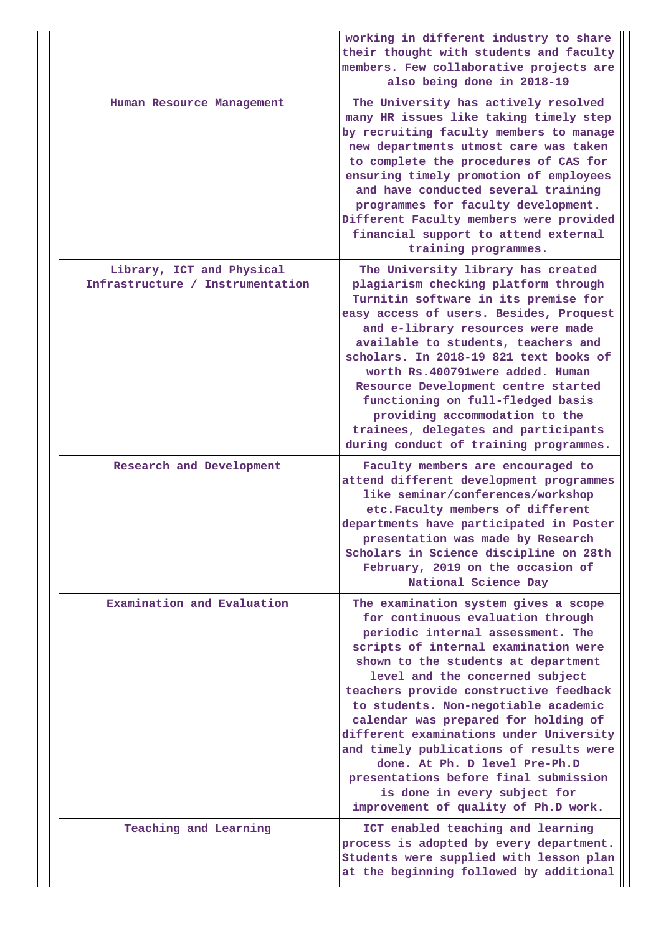|                                                               | working in different industry to share<br>their thought with students and faculty<br>members. Few collaborative projects are<br>also being done in 2018-19                                                                                                                                                                                                                                                                                                                                                                                                                                         |
|---------------------------------------------------------------|----------------------------------------------------------------------------------------------------------------------------------------------------------------------------------------------------------------------------------------------------------------------------------------------------------------------------------------------------------------------------------------------------------------------------------------------------------------------------------------------------------------------------------------------------------------------------------------------------|
| Human Resource Management                                     | The University has actively resolved<br>many HR issues like taking timely step<br>by recruiting faculty members to manage<br>new departments utmost care was taken<br>to complete the procedures of CAS for<br>ensuring timely promotion of employees<br>and have conducted several training<br>programmes for faculty development.<br>Different Faculty members were provided<br>financial support to attend external<br>training programmes.                                                                                                                                                     |
| Library, ICT and Physical<br>Infrastructure / Instrumentation | The University library has created<br>plagiarism checking platform through<br>Turnitin software in its premise for<br>easy access of users. Besides, Proquest<br>and e-library resources were made<br>available to students, teachers and<br>scholars. In 2018-19 821 text books of<br>worth Rs.400791were added. Human<br>Resource Development centre started<br>functioning on full-fledged basis<br>providing accommodation to the<br>trainees, delegates and participants<br>during conduct of training programmes.                                                                            |
| Research and Development                                      | Faculty members are encouraged to<br>attend different development programmes<br>like seminar/conferences/workshop<br>etc. Faculty members of different<br>departments have participated in Poster<br>presentation was made by Research<br>Scholars in Science discipline on 28th<br>February, 2019 on the occasion of<br>National Science Day                                                                                                                                                                                                                                                      |
| Examination and Evaluation                                    |                                                                                                                                                                                                                                                                                                                                                                                                                                                                                                                                                                                                    |
|                                                               | The examination system gives a scope<br>for continuous evaluation through<br>periodic internal assessment. The<br>scripts of internal examination were<br>shown to the students at department<br>level and the concerned subject<br>teachers provide constructive feedback<br>to students. Non-negotiable academic<br>calendar was prepared for holding of<br>different examinations under University<br>and timely publications of results were<br>done. At Ph. D level Pre-Ph.D<br>presentations before final submission<br>is done in every subject for<br>improvement of quality of Ph.D work. |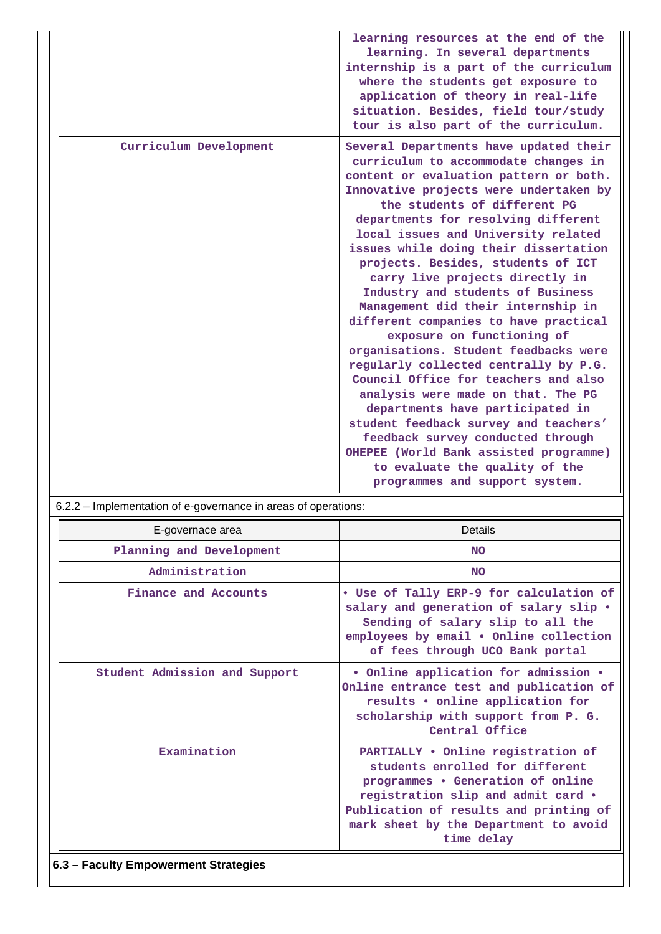|                        | learning resources at the end of the<br>learning. In several departments<br>internship is a part of the curriculum<br>where the students get exposure to<br>application of theory in real-life<br>situation. Besides, field tour/study<br>tour is also part of the curriculum.                                                                                                                                                                                                                                                                                                                                                                                                                                                                                                                                                                                                                                                                       |
|------------------------|------------------------------------------------------------------------------------------------------------------------------------------------------------------------------------------------------------------------------------------------------------------------------------------------------------------------------------------------------------------------------------------------------------------------------------------------------------------------------------------------------------------------------------------------------------------------------------------------------------------------------------------------------------------------------------------------------------------------------------------------------------------------------------------------------------------------------------------------------------------------------------------------------------------------------------------------------|
| Curriculum Development | Several Departments have updated their<br>curriculum to accommodate changes in<br>content or evaluation pattern or both.<br>Innovative projects were undertaken by<br>the students of different PG<br>departments for resolving different<br>local issues and University related<br>issues while doing their dissertation<br>projects. Besides, students of ICT<br>carry live projects directly in<br>Industry and students of Business<br>Management did their internship in<br>different companies to have practical<br>exposure on functioning of<br>organisations. Student feedbacks were<br>regularly collected centrally by P.G.<br>Council Office for teachers and also<br>analysis were made on that. The PG<br>departments have participated in<br>student feedback survey and teachers'<br>feedback survey conducted through<br>OHEPEE (World Bank assisted programme)<br>to evaluate the quality of the<br>programmes and support system. |

| 6.2.2 – Implementation of e-governance in areas of operations: |                                                                                                                                                                                                                                                   |  |  |  |  |  |  |
|----------------------------------------------------------------|---------------------------------------------------------------------------------------------------------------------------------------------------------------------------------------------------------------------------------------------------|--|--|--|--|--|--|
| E-governace area                                               | Details                                                                                                                                                                                                                                           |  |  |  |  |  |  |
| Planning and Development                                       | <b>NO</b>                                                                                                                                                                                                                                         |  |  |  |  |  |  |
| Administration                                                 | <b>NO</b>                                                                                                                                                                                                                                         |  |  |  |  |  |  |
| Finance and Accounts                                           | . Use of Tally ERP-9 for calculation of<br>salary and generation of salary slip .<br>Sending of salary slip to all the<br>employees by email . Online collection<br>of fees through UCO Bank portal                                               |  |  |  |  |  |  |
| Student Admission and Support                                  | · Online application for admission .<br>Online entrance test and publication of<br>results . online application for<br>scholarship with support from P. G.<br>Central Office                                                                      |  |  |  |  |  |  |
| Examination                                                    | PARTIALLY . Online registration of<br>students enrolled for different<br>programmes . Generation of online<br>registration slip and admit card .<br>Publication of results and printing of<br>mark sheet by the Department to avoid<br>time delay |  |  |  |  |  |  |

## **6.3 – Faculty Empowerment Strategies**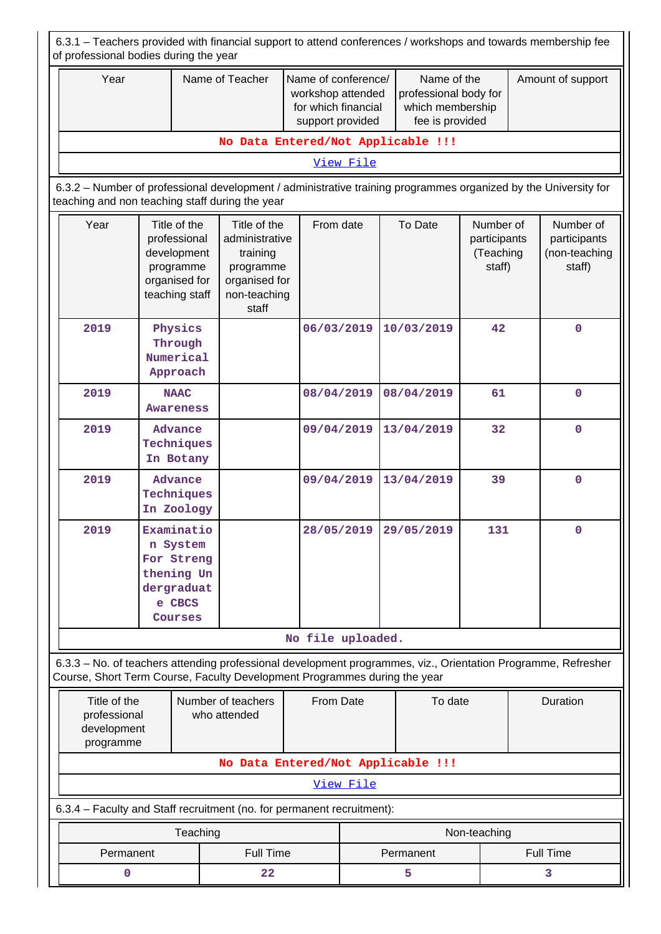| 6.3.1 – Teachers provided with financial support to attend conferences / workshops and towards membership fee<br>of professional bodies during the year                                    |                                                                                                                                                                    |                                                          |                                                                                                   |                                                                                                                           |           |                       |                                                  |                   |                                                      |  |  |
|--------------------------------------------------------------------------------------------------------------------------------------------------------------------------------------------|--------------------------------------------------------------------------------------------------------------------------------------------------------------------|----------------------------------------------------------|---------------------------------------------------------------------------------------------------|---------------------------------------------------------------------------------------------------------------------------|-----------|-----------------------|--------------------------------------------------|-------------------|------------------------------------------------------|--|--|
| Year                                                                                                                                                                                       |                                                                                                                                                                    | Name of Teacher<br>workshop attended<br>support provided |                                                                                                   | Name of the<br>Name of conference/<br>professional body for<br>which membership<br>for which financial<br>fee is provided |           |                       |                                                  | Amount of support |                                                      |  |  |
|                                                                                                                                                                                            |                                                                                                                                                                    |                                                          |                                                                                                   | No Data Entered/Not Applicable !!!                                                                                        |           |                       |                                                  |                   |                                                      |  |  |
|                                                                                                                                                                                            |                                                                                                                                                                    |                                                          |                                                                                                   |                                                                                                                           | View File |                       |                                                  |                   |                                                      |  |  |
|                                                                                                                                                                                            | 6.3.2 - Number of professional development / administrative training programmes organized by the University for<br>teaching and non teaching staff during the year |                                                          |                                                                                                   |                                                                                                                           |           |                       |                                                  |                   |                                                      |  |  |
| Year                                                                                                                                                                                       | Title of the<br>professional<br>development<br>programme<br>organised for<br>teaching staff                                                                        |                                                          | Title of the<br>administrative<br>training<br>programme<br>organised for<br>non-teaching<br>staff | From date                                                                                                                 |           | To Date               | Number of<br>participants<br>(Teaching<br>staff) |                   | Number of<br>participants<br>(non-teaching<br>staff) |  |  |
| 2019                                                                                                                                                                                       | Physics<br>Through<br>Numerical<br>Approach                                                                                                                        |                                                          |                                                                                                   | 06/03/2019                                                                                                                |           | 10/03/2019            | 42                                               |                   | $\mathbf 0$                                          |  |  |
| 2019                                                                                                                                                                                       | <b>NAAC</b><br><b>Awareness</b>                                                                                                                                    |                                                          |                                                                                                   | 08/04/2019                                                                                                                |           | 08/04/2019            | 61                                               |                   | $\mathbf 0$                                          |  |  |
| 2019                                                                                                                                                                                       | Advance<br>Techniques<br>In Botany                                                                                                                                 |                                                          |                                                                                                   | 09/04/2019                                                                                                                |           | 13/04/2019            | 32                                               |                   | $\mathbf 0$                                          |  |  |
| 2019                                                                                                                                                                                       | Advance<br>Techniques<br>In Zoology                                                                                                                                |                                                          |                                                                                                   | 09/04/2019                                                                                                                |           | 13/04/2019            | 39                                               |                   | $\mathbf 0$                                          |  |  |
| 2019                                                                                                                                                                                       | Examinatio<br>n System<br>For Streng<br>thening Un<br>dergraduat<br>e CBCS<br>Courses                                                                              |                                                          |                                                                                                   |                                                                                                                           |           | 28/05/2019 29/05/2019 | 131                                              |                   | 0                                                    |  |  |
|                                                                                                                                                                                            |                                                                                                                                                                    |                                                          |                                                                                                   | No file uploaded.                                                                                                         |           |                       |                                                  |                   |                                                      |  |  |
| 6.3.3 - No. of teachers attending professional development programmes, viz., Orientation Programme, Refresher<br>Course, Short Term Course, Faculty Development Programmes during the year |                                                                                                                                                                    |                                                          |                                                                                                   |                                                                                                                           |           |                       |                                                  |                   |                                                      |  |  |
|                                                                                                                                                                                            | Title of the<br>professional<br>development<br>programme                                                                                                           |                                                          | Number of teachers<br>who attended                                                                | From Date                                                                                                                 |           | To date               |                                                  | Duration          |                                                      |  |  |
|                                                                                                                                                                                            |                                                                                                                                                                    |                                                          | No Data Entered/Not Applicable !!!                                                                |                                                                                                                           |           |                       |                                                  |                   |                                                      |  |  |
|                                                                                                                                                                                            |                                                                                                                                                                    |                                                          |                                                                                                   |                                                                                                                           | View File |                       |                                                  |                   |                                                      |  |  |
| 6.3.4 - Faculty and Staff recruitment (no. for permanent recruitment):                                                                                                                     |                                                                                                                                                                    |                                                          |                                                                                                   |                                                                                                                           |           |                       |                                                  |                   |                                                      |  |  |
|                                                                                                                                                                                            |                                                                                                                                                                    | Teaching                                                 |                                                                                                   |                                                                                                                           |           |                       | Non-teaching                                     |                   |                                                      |  |  |
| Permanent                                                                                                                                                                                  |                                                                                                                                                                    |                                                          | <b>Full Time</b>                                                                                  |                                                                                                                           |           | Permanent             |                                                  |                   | <b>Full Time</b>                                     |  |  |
| $\mathbf 0$                                                                                                                                                                                |                                                                                                                                                                    |                                                          | 22                                                                                                |                                                                                                                           |           | 5                     |                                                  | 3                 |                                                      |  |  |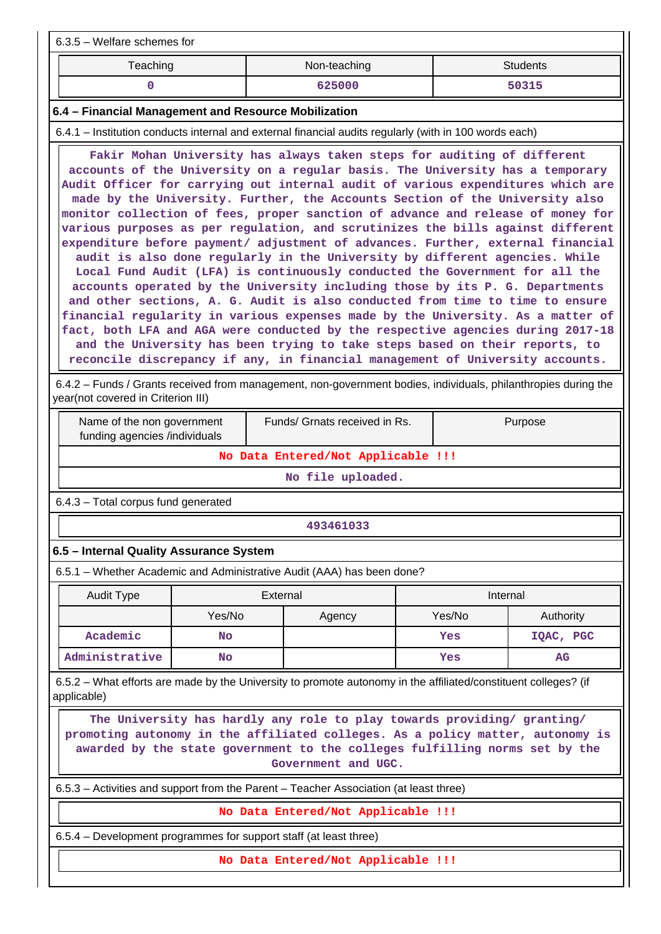| $6.3.5$ – Welfare schemes for                                                                                                                                                                                                                                                                                                                                                                                                                                                                                                                                                                                                                                                                                                                                                                                                                                                                                                                                                                                                                                                                                                                                            |                                                                                                                                                                                                                                       |          |                                    |          |        |                 |  |  |  |  |
|--------------------------------------------------------------------------------------------------------------------------------------------------------------------------------------------------------------------------------------------------------------------------------------------------------------------------------------------------------------------------------------------------------------------------------------------------------------------------------------------------------------------------------------------------------------------------------------------------------------------------------------------------------------------------------------------------------------------------------------------------------------------------------------------------------------------------------------------------------------------------------------------------------------------------------------------------------------------------------------------------------------------------------------------------------------------------------------------------------------------------------------------------------------------------|---------------------------------------------------------------------------------------------------------------------------------------------------------------------------------------------------------------------------------------|----------|------------------------------------|----------|--------|-----------------|--|--|--|--|
| Teaching                                                                                                                                                                                                                                                                                                                                                                                                                                                                                                                                                                                                                                                                                                                                                                                                                                                                                                                                                                                                                                                                                                                                                                 |                                                                                                                                                                                                                                       |          | Non-teaching                       |          |        | <b>Students</b> |  |  |  |  |
| $\mathbf{0}$                                                                                                                                                                                                                                                                                                                                                                                                                                                                                                                                                                                                                                                                                                                                                                                                                                                                                                                                                                                                                                                                                                                                                             |                                                                                                                                                                                                                                       |          | 625000                             |          |        | 50315           |  |  |  |  |
| 6.4 - Financial Management and Resource Mobilization                                                                                                                                                                                                                                                                                                                                                                                                                                                                                                                                                                                                                                                                                                                                                                                                                                                                                                                                                                                                                                                                                                                     |                                                                                                                                                                                                                                       |          |                                    |          |        |                 |  |  |  |  |
| 6.4.1 – Institution conducts internal and external financial audits regularly (with in 100 words each)                                                                                                                                                                                                                                                                                                                                                                                                                                                                                                                                                                                                                                                                                                                                                                                                                                                                                                                                                                                                                                                                   |                                                                                                                                                                                                                                       |          |                                    |          |        |                 |  |  |  |  |
| Fakir Mohan University has always taken steps for auditing of different<br>accounts of the University on a regular basis. The University has a temporary<br>Audit Officer for carrying out internal audit of various expenditures which are<br>made by the University. Further, the Accounts Section of the University also<br>monitor collection of fees, proper sanction of advance and release of money for<br>various purposes as per regulation, and scrutinizes the bills against different<br>expenditure before payment/ adjustment of advances. Further, external financial<br>audit is also done regularly in the University by different agencies. While<br>Local Fund Audit (LFA) is continuously conducted the Government for all the<br>accounts operated by the University including those by its P. G. Departments<br>and other sections, A. G. Audit is also conducted from time to time to ensure<br>financial regularity in various expenses made by the University. As a matter of<br>fact, both LFA and AGA were conducted by the respective agencies during 2017-18<br>and the University has been trying to take steps based on their reports, to |                                                                                                                                                                                                                                       |          |                                    |          |        |                 |  |  |  |  |
|                                                                                                                                                                                                                                                                                                                                                                                                                                                                                                                                                                                                                                                                                                                                                                                                                                                                                                                                                                                                                                                                                                                                                                          | reconcile discrepancy if any, in financial management of University accounts.<br>6.4.2 - Funds / Grants received from management, non-government bodies, individuals, philanthropies during the<br>year(not covered in Criterion III) |          |                                    |          |        |                 |  |  |  |  |
| Name of the non government<br>funding agencies /individuals                                                                                                                                                                                                                                                                                                                                                                                                                                                                                                                                                                                                                                                                                                                                                                                                                                                                                                                                                                                                                                                                                                              |                                                                                                                                                                                                                                       |          | Funds/ Grnats received in Rs.      |          |        | Purpose         |  |  |  |  |
|                                                                                                                                                                                                                                                                                                                                                                                                                                                                                                                                                                                                                                                                                                                                                                                                                                                                                                                                                                                                                                                                                                                                                                          |                                                                                                                                                                                                                                       |          | No Data Entered/Not Applicable !!! |          |        |                 |  |  |  |  |
|                                                                                                                                                                                                                                                                                                                                                                                                                                                                                                                                                                                                                                                                                                                                                                                                                                                                                                                                                                                                                                                                                                                                                                          |                                                                                                                                                                                                                                       |          | No file uploaded.                  |          |        |                 |  |  |  |  |
| 6.4.3 - Total corpus fund generated                                                                                                                                                                                                                                                                                                                                                                                                                                                                                                                                                                                                                                                                                                                                                                                                                                                                                                                                                                                                                                                                                                                                      |                                                                                                                                                                                                                                       |          |                                    |          |        |                 |  |  |  |  |
|                                                                                                                                                                                                                                                                                                                                                                                                                                                                                                                                                                                                                                                                                                                                                                                                                                                                                                                                                                                                                                                                                                                                                                          |                                                                                                                                                                                                                                       |          | 493461033                          |          |        |                 |  |  |  |  |
| 6.5 - Internal Quality Assurance System                                                                                                                                                                                                                                                                                                                                                                                                                                                                                                                                                                                                                                                                                                                                                                                                                                                                                                                                                                                                                                                                                                                                  |                                                                                                                                                                                                                                       |          |                                    |          |        |                 |  |  |  |  |
| 6.5.1 - Whether Academic and Administrative Audit (AAA) has been done?                                                                                                                                                                                                                                                                                                                                                                                                                                                                                                                                                                                                                                                                                                                                                                                                                                                                                                                                                                                                                                                                                                   |                                                                                                                                                                                                                                       |          |                                    |          |        |                 |  |  |  |  |
| Audit Type                                                                                                                                                                                                                                                                                                                                                                                                                                                                                                                                                                                                                                                                                                                                                                                                                                                                                                                                                                                                                                                                                                                                                               |                                                                                                                                                                                                                                       | External |                                    | Internal |        |                 |  |  |  |  |
|                                                                                                                                                                                                                                                                                                                                                                                                                                                                                                                                                                                                                                                                                                                                                                                                                                                                                                                                                                                                                                                                                                                                                                          | Yes/No                                                                                                                                                                                                                                |          | Agency                             |          | Yes/No | Authority       |  |  |  |  |
| Academic                                                                                                                                                                                                                                                                                                                                                                                                                                                                                                                                                                                                                                                                                                                                                                                                                                                                                                                                                                                                                                                                                                                                                                 | No                                                                                                                                                                                                                                    |          |                                    |          | Yes    | IQAC, PGC       |  |  |  |  |
| Administrative                                                                                                                                                                                                                                                                                                                                                                                                                                                                                                                                                                                                                                                                                                                                                                                                                                                                                                                                                                                                                                                                                                                                                           | No                                                                                                                                                                                                                                    |          |                                    |          | Yes    | AG              |  |  |  |  |
| 6.5.2 – What efforts are made by the University to promote autonomy in the affiliated/constituent colleges? (if<br>applicable)                                                                                                                                                                                                                                                                                                                                                                                                                                                                                                                                                                                                                                                                                                                                                                                                                                                                                                                                                                                                                                           |                                                                                                                                                                                                                                       |          |                                    |          |        |                 |  |  |  |  |
| The University has hardly any role to play towards providing/ granting/<br>promoting autonomy in the affiliated colleges. As a policy matter, autonomy is<br>awarded by the state government to the colleges fulfilling norms set by the<br>Government and UGC.                                                                                                                                                                                                                                                                                                                                                                                                                                                                                                                                                                                                                                                                                                                                                                                                                                                                                                          |                                                                                                                                                                                                                                       |          |                                    |          |        |                 |  |  |  |  |
| 6.5.3 - Activities and support from the Parent - Teacher Association (at least three)                                                                                                                                                                                                                                                                                                                                                                                                                                                                                                                                                                                                                                                                                                                                                                                                                                                                                                                                                                                                                                                                                    |                                                                                                                                                                                                                                       |          |                                    |          |        |                 |  |  |  |  |
|                                                                                                                                                                                                                                                                                                                                                                                                                                                                                                                                                                                                                                                                                                                                                                                                                                                                                                                                                                                                                                                                                                                                                                          |                                                                                                                                                                                                                                       |          | No Data Entered/Not Applicable !!! |          |        |                 |  |  |  |  |
| 6.5.4 – Development programmes for support staff (at least three)                                                                                                                                                                                                                                                                                                                                                                                                                                                                                                                                                                                                                                                                                                                                                                                                                                                                                                                                                                                                                                                                                                        |                                                                                                                                                                                                                                       |          |                                    |          |        |                 |  |  |  |  |
|                                                                                                                                                                                                                                                                                                                                                                                                                                                                                                                                                                                                                                                                                                                                                                                                                                                                                                                                                                                                                                                                                                                                                                          |                                                                                                                                                                                                                                       |          | No Data Entered/Not Applicable !!! |          |        |                 |  |  |  |  |
|                                                                                                                                                                                                                                                                                                                                                                                                                                                                                                                                                                                                                                                                                                                                                                                                                                                                                                                                                                                                                                                                                                                                                                          |                                                                                                                                                                                                                                       |          |                                    |          |        |                 |  |  |  |  |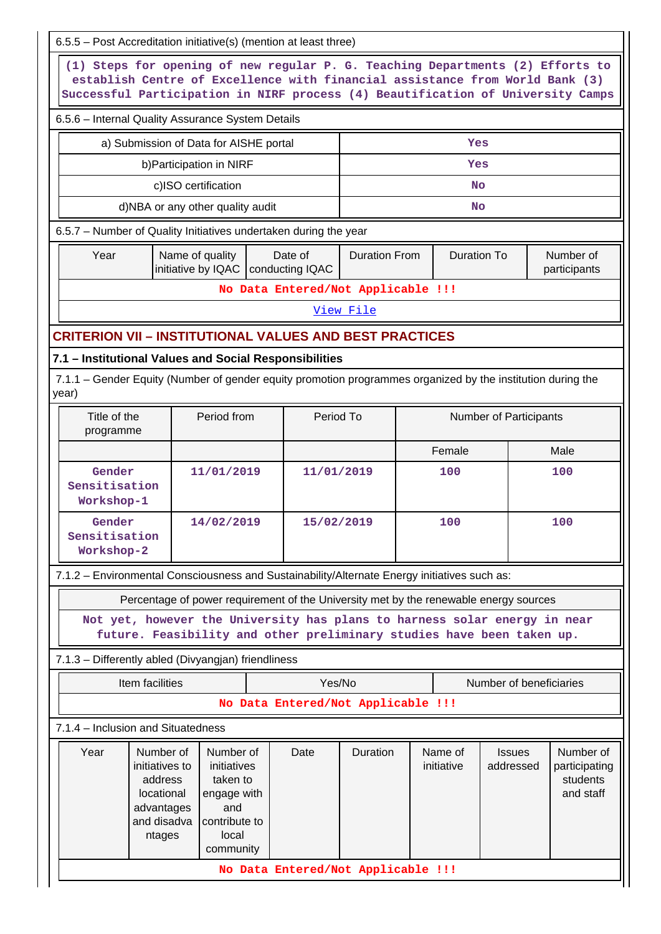| 6.5.5 - Post Accreditation initiative(s) (mention at least three)                                                                                                                                                                                 |                                                                                                                                                    |                                                                                                   |  |                                    |           |     |                       |                            |  |                                                     |  |  |
|---------------------------------------------------------------------------------------------------------------------------------------------------------------------------------------------------------------------------------------------------|----------------------------------------------------------------------------------------------------------------------------------------------------|---------------------------------------------------------------------------------------------------|--|------------------------------------|-----------|-----|-----------------------|----------------------------|--|-----------------------------------------------------|--|--|
| (1) Steps for opening of new regular P. G. Teaching Departments (2) Efforts to<br>establish Centre of Excellence with financial assistance from World Bank (3)<br>Successful Participation in NIRF process (4) Beautification of University Camps |                                                                                                                                                    |                                                                                                   |  |                                    |           |     |                       |                            |  |                                                     |  |  |
|                                                                                                                                                                                                                                                   | 6.5.6 - Internal Quality Assurance System Details                                                                                                  |                                                                                                   |  |                                    |           |     |                       |                            |  |                                                     |  |  |
| a) Submission of Data for AISHE portal<br>Yes                                                                                                                                                                                                     |                                                                                                                                                    |                                                                                                   |  |                                    |           |     |                       |                            |  |                                                     |  |  |
|                                                                                                                                                                                                                                                   | b) Participation in NIRF<br>Yes                                                                                                                    |                                                                                                   |  |                                    |           |     |                       |                            |  |                                                     |  |  |
|                                                                                                                                                                                                                                                   | c)ISO certification                                                                                                                                |                                                                                                   |  |                                    |           |     | <b>No</b>             |                            |  |                                                     |  |  |
| d)NBA or any other quality audit<br>No                                                                                                                                                                                                            |                                                                                                                                                    |                                                                                                   |  |                                    |           |     |                       |                            |  |                                                     |  |  |
| 6.5.7 - Number of Quality Initiatives undertaken during the year                                                                                                                                                                                  |                                                                                                                                                    |                                                                                                   |  |                                    |           |     |                       |                            |  |                                                     |  |  |
| Name of quality<br>Year<br>Date of<br><b>Duration From</b><br><b>Duration To</b><br>Number of<br>initiative by IQAC   conducting IQAC<br>participants                                                                                             |                                                                                                                                                    |                                                                                                   |  |                                    |           |     |                       |                            |  |                                                     |  |  |
|                                                                                                                                                                                                                                                   |                                                                                                                                                    |                                                                                                   |  | No Data Entered/Not Applicable !!! |           |     |                       |                            |  |                                                     |  |  |
|                                                                                                                                                                                                                                                   |                                                                                                                                                    |                                                                                                   |  |                                    | View File |     |                       |                            |  |                                                     |  |  |
| <b>CRITERION VII - INSTITUTIONAL VALUES AND BEST PRACTICES</b>                                                                                                                                                                                    |                                                                                                                                                    |                                                                                                   |  |                                    |           |     |                       |                            |  |                                                     |  |  |
| 7.1 - Institutional Values and Social Responsibilities                                                                                                                                                                                            |                                                                                                                                                    |                                                                                                   |  |                                    |           |     |                       |                            |  |                                                     |  |  |
| year)                                                                                                                                                                                                                                             | 7.1.1 – Gender Equity (Number of gender equity promotion programmes organized by the institution during the                                        |                                                                                                   |  |                                    |           |     |                       |                            |  |                                                     |  |  |
| Title of the<br>programme                                                                                                                                                                                                                         |                                                                                                                                                    | Period from                                                                                       |  | Period To                          |           |     |                       | Number of Participants     |  |                                                     |  |  |
|                                                                                                                                                                                                                                                   |                                                                                                                                                    |                                                                                                   |  |                                    | Female    |     |                       | Male                       |  |                                                     |  |  |
| Gender                                                                                                                                                                                                                                            | 11/01/2019<br>Sensitisation<br>Workshop-1                                                                                                          |                                                                                                   |  | 11/01/2019                         |           | 100 |                       |                            |  | 100                                                 |  |  |
| Gender<br>Sensitisation<br>Workshop-2                                                                                                                                                                                                             |                                                                                                                                                    | 14/02/2019                                                                                        |  | 15/02/2019                         |           |     | 100                   |                            |  | 100                                                 |  |  |
| 7.1.2 - Environmental Consciousness and Sustainability/Alternate Energy initiatives such as:                                                                                                                                                      |                                                                                                                                                    |                                                                                                   |  |                                    |           |     |                       |                            |  |                                                     |  |  |
|                                                                                                                                                                                                                                                   | Percentage of power requirement of the University met by the renewable energy sources                                                              |                                                                                                   |  |                                    |           |     |                       |                            |  |                                                     |  |  |
|                                                                                                                                                                                                                                                   | Not yet, however the University has plans to harness solar energy in near<br>future. Feasibility and other preliminary studies have been taken up. |                                                                                                   |  |                                    |           |     |                       |                            |  |                                                     |  |  |
| 7.1.3 - Differently abled (Divyangjan) friendliness                                                                                                                                                                                               |                                                                                                                                                    |                                                                                                   |  |                                    |           |     |                       |                            |  |                                                     |  |  |
|                                                                                                                                                                                                                                                   | Item facilities                                                                                                                                    |                                                                                                   |  | Yes/No                             |           |     |                       | Number of beneficiaries    |  |                                                     |  |  |
|                                                                                                                                                                                                                                                   |                                                                                                                                                    |                                                                                                   |  | No Data Entered/Not Applicable !!! |           |     |                       |                            |  |                                                     |  |  |
| 7.1.4 - Inclusion and Situatedness                                                                                                                                                                                                                |                                                                                                                                                    |                                                                                                   |  |                                    |           |     |                       |                            |  |                                                     |  |  |
| Year                                                                                                                                                                                                                                              | Number of<br>initiatives to<br>address<br>locational<br>advantages<br>and disadva<br>ntages                                                        | Number of<br>initiatives<br>taken to<br>engage with<br>and<br>contribute to<br>local<br>community |  | Date                               | Duration  |     | Name of<br>initiative | <b>Issues</b><br>addressed |  | Number of<br>participating<br>students<br>and staff |  |  |
|                                                                                                                                                                                                                                                   |                                                                                                                                                    |                                                                                                   |  | No Data Entered/Not Applicable !!! |           |     |                       |                            |  |                                                     |  |  |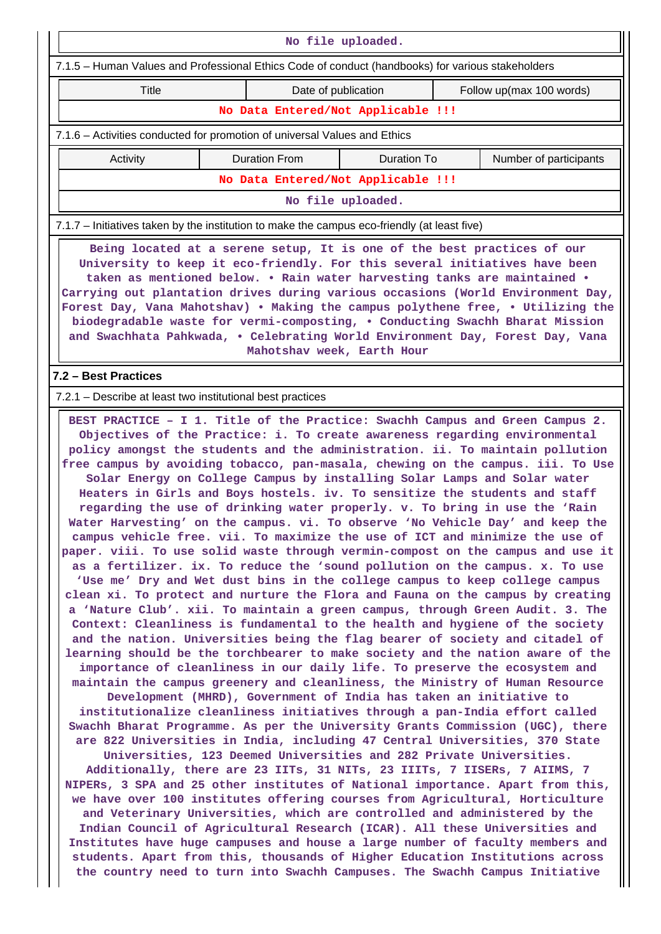| No file uploaded.                                                                                                                                                                                                                                                                                                                                                                                                                                                                                                                                                                                                                                                                                                                                                                                                                                                                                                                                                                                                                                                                                                                                                                                                                                                                                                                                                                                                                                                                                                                                                                                                                                                                                                                                                                                                                                                                                                                                                                                                                                                                                                                                                                                                                                                                                                                                                                                                                                                                                                                |                        |                                    |  |                          |  |  |  |  |  |  |
|----------------------------------------------------------------------------------------------------------------------------------------------------------------------------------------------------------------------------------------------------------------------------------------------------------------------------------------------------------------------------------------------------------------------------------------------------------------------------------------------------------------------------------------------------------------------------------------------------------------------------------------------------------------------------------------------------------------------------------------------------------------------------------------------------------------------------------------------------------------------------------------------------------------------------------------------------------------------------------------------------------------------------------------------------------------------------------------------------------------------------------------------------------------------------------------------------------------------------------------------------------------------------------------------------------------------------------------------------------------------------------------------------------------------------------------------------------------------------------------------------------------------------------------------------------------------------------------------------------------------------------------------------------------------------------------------------------------------------------------------------------------------------------------------------------------------------------------------------------------------------------------------------------------------------------------------------------------------------------------------------------------------------------------------------------------------------------------------------------------------------------------------------------------------------------------------------------------------------------------------------------------------------------------------------------------------------------------------------------------------------------------------------------------------------------------------------------------------------------------------------------------------------------|------------------------|------------------------------------|--|--------------------------|--|--|--|--|--|--|
| 7.1.5 - Human Values and Professional Ethics Code of conduct (handbooks) for various stakeholders                                                                                                                                                                                                                                                                                                                                                                                                                                                                                                                                                                                                                                                                                                                                                                                                                                                                                                                                                                                                                                                                                                                                                                                                                                                                                                                                                                                                                                                                                                                                                                                                                                                                                                                                                                                                                                                                                                                                                                                                                                                                                                                                                                                                                                                                                                                                                                                                                                |                        |                                    |  |                          |  |  |  |  |  |  |
| Title                                                                                                                                                                                                                                                                                                                                                                                                                                                                                                                                                                                                                                                                                                                                                                                                                                                                                                                                                                                                                                                                                                                                                                                                                                                                                                                                                                                                                                                                                                                                                                                                                                                                                                                                                                                                                                                                                                                                                                                                                                                                                                                                                                                                                                                                                                                                                                                                                                                                                                                            |                        | Date of publication                |  | Follow up(max 100 words) |  |  |  |  |  |  |
|                                                                                                                                                                                                                                                                                                                                                                                                                                                                                                                                                                                                                                                                                                                                                                                                                                                                                                                                                                                                                                                                                                                                                                                                                                                                                                                                                                                                                                                                                                                                                                                                                                                                                                                                                                                                                                                                                                                                                                                                                                                                                                                                                                                                                                                                                                                                                                                                                                                                                                                                  |                        | No Data Entered/Not Applicable !!! |  |                          |  |  |  |  |  |  |
| 7.1.6 - Activities conducted for promotion of universal Values and Ethics                                                                                                                                                                                                                                                                                                                                                                                                                                                                                                                                                                                                                                                                                                                                                                                                                                                                                                                                                                                                                                                                                                                                                                                                                                                                                                                                                                                                                                                                                                                                                                                                                                                                                                                                                                                                                                                                                                                                                                                                                                                                                                                                                                                                                                                                                                                                                                                                                                                        |                        |                                    |  |                          |  |  |  |  |  |  |
| Activity                                                                                                                                                                                                                                                                                                                                                                                                                                                                                                                                                                                                                                                                                                                                                                                                                                                                                                                                                                                                                                                                                                                                                                                                                                                                                                                                                                                                                                                                                                                                                                                                                                                                                                                                                                                                                                                                                                                                                                                                                                                                                                                                                                                                                                                                                                                                                                                                                                                                                                                         | Number of participants |                                    |  |                          |  |  |  |  |  |  |
| No Data Entered/Not Applicable !!!                                                                                                                                                                                                                                                                                                                                                                                                                                                                                                                                                                                                                                                                                                                                                                                                                                                                                                                                                                                                                                                                                                                                                                                                                                                                                                                                                                                                                                                                                                                                                                                                                                                                                                                                                                                                                                                                                                                                                                                                                                                                                                                                                                                                                                                                                                                                                                                                                                                                                               |                        |                                    |  |                          |  |  |  |  |  |  |
| No file uploaded.                                                                                                                                                                                                                                                                                                                                                                                                                                                                                                                                                                                                                                                                                                                                                                                                                                                                                                                                                                                                                                                                                                                                                                                                                                                                                                                                                                                                                                                                                                                                                                                                                                                                                                                                                                                                                                                                                                                                                                                                                                                                                                                                                                                                                                                                                                                                                                                                                                                                                                                |                        |                                    |  |                          |  |  |  |  |  |  |
| 7.1.7 – Initiatives taken by the institution to make the campus eco-friendly (at least five)                                                                                                                                                                                                                                                                                                                                                                                                                                                                                                                                                                                                                                                                                                                                                                                                                                                                                                                                                                                                                                                                                                                                                                                                                                                                                                                                                                                                                                                                                                                                                                                                                                                                                                                                                                                                                                                                                                                                                                                                                                                                                                                                                                                                                                                                                                                                                                                                                                     |                        |                                    |  |                          |  |  |  |  |  |  |
| Being located at a serene setup, It is one of the best practices of our<br>University to keep it eco-friendly. For this several initiatives have been<br>taken as mentioned below. . Rain water harvesting tanks are maintained .<br>Carrying out plantation drives during various occasions (World Environment Day,<br>Forest Day, Vana Mahotshav) . Making the campus polythene free, . Utilizing the<br>biodegradable waste for vermi-composting, . Conducting Swachh Bharat Mission<br>and Swachhata Pahkwada, . Celebrating World Environment Day, Forest Day, Vana<br>Mahotshav week, Earth Hour                                                                                                                                                                                                                                                                                                                                                                                                                                                                                                                                                                                                                                                                                                                                                                                                                                                                                                                                                                                                                                                                                                                                                                                                                                                                                                                                                                                                                                                                                                                                                                                                                                                                                                                                                                                                                                                                                                                           |                        |                                    |  |                          |  |  |  |  |  |  |
| 7.2 - Best Practices                                                                                                                                                                                                                                                                                                                                                                                                                                                                                                                                                                                                                                                                                                                                                                                                                                                                                                                                                                                                                                                                                                                                                                                                                                                                                                                                                                                                                                                                                                                                                                                                                                                                                                                                                                                                                                                                                                                                                                                                                                                                                                                                                                                                                                                                                                                                                                                                                                                                                                             |                        |                                    |  |                          |  |  |  |  |  |  |
|                                                                                                                                                                                                                                                                                                                                                                                                                                                                                                                                                                                                                                                                                                                                                                                                                                                                                                                                                                                                                                                                                                                                                                                                                                                                                                                                                                                                                                                                                                                                                                                                                                                                                                                                                                                                                                                                                                                                                                                                                                                                                                                                                                                                                                                                                                                                                                                                                                                                                                                                  |                        |                                    |  |                          |  |  |  |  |  |  |
| 7.2.1 – Describe at least two institutional best practices<br>BEST PRACTICE - I 1. Title of the Practice: Swachh Campus and Green Campus 2.<br>Objectives of the Practice: i. To create awareness regarding environmental<br>policy amongst the students and the administration. ii. To maintain pollution<br>free campus by avoiding tobacco, pan-masala, chewing on the campus. iii. To Use<br>Solar Energy on College Campus by installing Solar Lamps and Solar water<br>Heaters in Girls and Boys hostels. iv. To sensitize the students and staff<br>regarding the use of drinking water properly. v. To bring in use the 'Rain<br>Water Harvesting' on the campus. vi. To observe 'No Vehicle Day' and keep the<br>campus vehicle free. vii. To maximize the use of ICT and minimize the use of<br>paper. viii. To use solid waste through vermin-compost on the campus and use it<br>as a fertilizer. ix. To reduce the 'sound pollution on the campus. x. To use<br>'Use me' Dry and Wet dust bins in the college campus to keep college campus<br>clean xi. To protect and nurture the Flora and Fauna on the campus by creating<br>a 'Nature Club'. xii. To maintain a green campus, through Green Audit. 3. The<br>Context: Cleanliness is fundamental to the health and hygiene of the society<br>and the nation. Universities being the flag bearer of society and citadel of<br>learning should be the torchbearer to make society and the nation aware of the<br>importance of cleanliness in our daily life. To preserve the ecosystem and<br>maintain the campus greenery and cleanliness, the Ministry of Human Resource<br>Development (MHRD), Government of India has taken an initiative to<br>institutionalize cleanliness initiatives through a pan-India effort called<br>Swachh Bharat Programme. As per the University Grants Commission (UGC), there<br>are 822 Universities in India, including 47 Central Universities, 370 State<br>Universities, 123 Deemed Universities and 282 Private Universities.<br>Additionally, there are 23 IITs, 31 NITs, 23 IIITs, 7 IISERs, 7 AIIMS, 7<br>NIPERs, 3 SPA and 25 other institutes of National importance. Apart from this,<br>we have over 100 institutes offering courses from Agricultural, Horticulture<br>and Veterinary Universities, which are controlled and administered by the<br>Indian Council of Agricultural Research (ICAR). All these Universities and<br>Institutes have huge campuses and house a large number of faculty members and |                        |                                    |  |                          |  |  |  |  |  |  |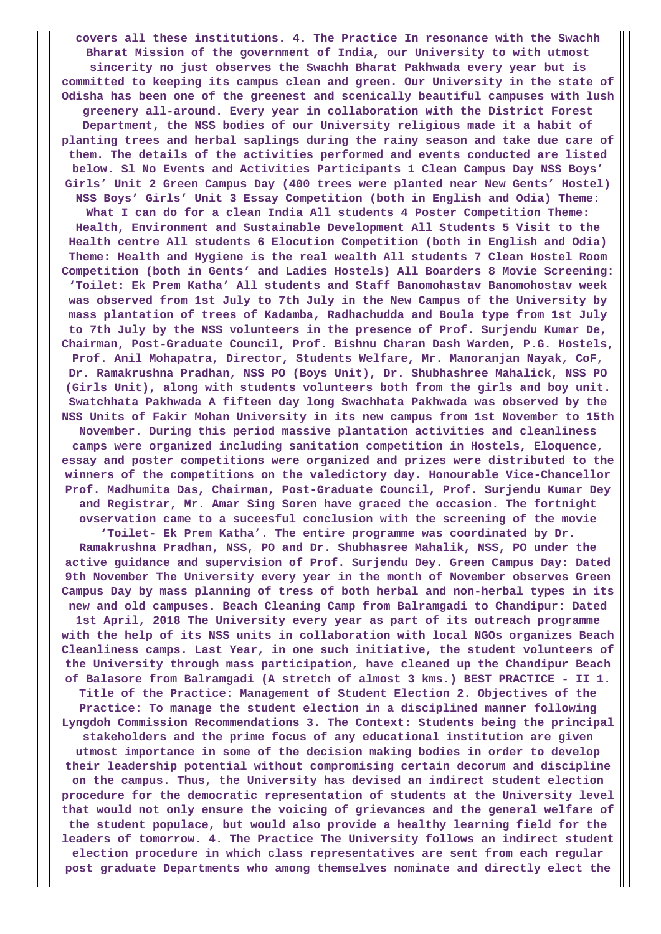**covers all these institutions. 4. The Practice In resonance with the Swachh Bharat Mission of the government of India, our University to with utmost sincerity no just observes the Swachh Bharat Pakhwada every year but is committed to keeping its campus clean and green. Our University in the state of Odisha has been one of the greenest and scenically beautiful campuses with lush greenery all-around. Every year in collaboration with the District Forest Department, the NSS bodies of our University religious made it a habit of planting trees and herbal saplings during the rainy season and take due care of them. The details of the activities performed and events conducted are listed below. Sl No Events and Activities Participants 1 Clean Campus Day NSS Boys' Girls' Unit 2 Green Campus Day (400 trees were planted near New Gents' Hostel) NSS Boys' Girls' Unit 3 Essay Competition (both in English and Odia) Theme: What I can do for a clean India All students 4 Poster Competition Theme: Health, Environment and Sustainable Development All Students 5 Visit to the Health centre All students 6 Elocution Competition (both in English and Odia) Theme: Health and Hygiene is the real wealth All students 7 Clean Hostel Room Competition (both in Gents' and Ladies Hostels) All Boarders 8 Movie Screening: 'Toilet: Ek Prem Katha' All students and Staff Banomohastav Banomohostav week was observed from 1st July to 7th July in the New Campus of the University by mass plantation of trees of Kadamba, Radhachudda and Boula type from 1st July to 7th July by the NSS volunteers in the presence of Prof. Surjendu Kumar De, Chairman, Post-Graduate Council, Prof. Bishnu Charan Dash Warden, P.G. Hostels, Prof. Anil Mohapatra, Director, Students Welfare, Mr. Manoranjan Nayak, CoF, Dr. Ramakrushna Pradhan, NSS PO (Boys Unit), Dr. Shubhashree Mahalick, NSS PO (Girls Unit), along with students volunteers both from the girls and boy unit. Swatchhata Pakhwada A fifteen day long Swachhata Pakhwada was observed by the NSS Units of Fakir Mohan University in its new campus from 1st November to 15th November. During this period massive plantation activities and cleanliness camps were organized including sanitation competition in Hostels, Eloquence, essay and poster competitions were organized and prizes were distributed to the winners of the competitions on the valedictory day. Honourable Vice-Chancellor Prof. Madhumita Das, Chairman, Post-Graduate Council, Prof. Surjendu Kumar Dey and Registrar, Mr. Amar Sing Soren have graced the occasion. The fortnight ovservation came to a suceesful conclusion with the screening of the movie 'Toilet- Ek Prem Katha'. The entire programme was coordinated by Dr. Ramakrushna Pradhan, NSS, PO and Dr. Shubhasree Mahalik, NSS, PO under the active guidance and supervision of Prof. Surjendu Dey. Green Campus Day: Dated 9th November The University every year in the month of November observes Green Campus Day by mass planning of tress of both herbal and non-herbal types in its new and old campuses. Beach Cleaning Camp from Balramgadi to Chandipur: Dated 1st April, 2018 The University every year as part of its outreach programme with the help of its NSS units in collaboration with local NGOs organizes Beach Cleanliness camps. Last Year, in one such initiative, the student volunteers of the University through mass participation, have cleaned up the Chandipur Beach of Balasore from Balramgadi (A stretch of almost 3 kms.) BEST PRACTICE - II 1. Title of the Practice: Management of Student Election 2. Objectives of the Practice: To manage the student election in a disciplined manner following Lyngdoh Commission Recommendations 3. The Context: Students being the principal stakeholders and the prime focus of any educational institution are given utmost importance in some of the decision making bodies in order to develop their leadership potential without compromising certain decorum and discipline on the campus. Thus, the University has devised an indirect student election procedure for the democratic representation of students at the University level that would not only ensure the voicing of grievances and the general welfare of the student populace, but would also provide a healthy learning field for the leaders of tomorrow. 4. The Practice The University follows an indirect student election procedure in which class representatives are sent from each regular post graduate Departments who among themselves nominate and directly elect the**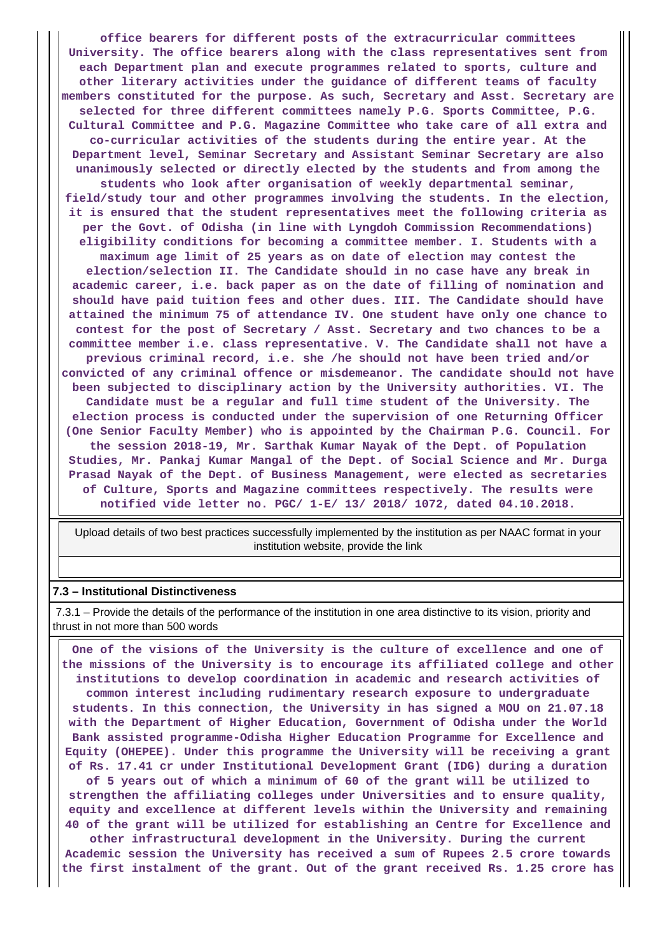**office bearers for different posts of the extracurricular committees University. The office bearers along with the class representatives sent from each Department plan and execute programmes related to sports, culture and other literary activities under the guidance of different teams of faculty members constituted for the purpose. As such, Secretary and Asst. Secretary are selected for three different committees namely P.G. Sports Committee, P.G. Cultural Committee and P.G. Magazine Committee who take care of all extra and co-curricular activities of the students during the entire year. At the Department level, Seminar Secretary and Assistant Seminar Secretary are also unanimously selected or directly elected by the students and from among the students who look after organisation of weekly departmental seminar, field/study tour and other programmes involving the students. In the election, it is ensured that the student representatives meet the following criteria as per the Govt. of Odisha (in line with Lyngdoh Commission Recommendations) eligibility conditions for becoming a committee member. I. Students with a maximum age limit of 25 years as on date of election may contest the election/selection II. The Candidate should in no case have any break in academic career, i.e. back paper as on the date of filling of nomination and should have paid tuition fees and other dues. III. The Candidate should have attained the minimum 75 of attendance IV. One student have only one chance to contest for the post of Secretary / Asst. Secretary and two chances to be a committee member i.e. class representative. V. The Candidate shall not have a previous criminal record, i.e. she /he should not have been tried and/or convicted of any criminal offence or misdemeanor. The candidate should not have been subjected to disciplinary action by the University authorities. VI. The Candidate must be a regular and full time student of the University. The election process is conducted under the supervision of one Returning Officer (One Senior Faculty Member) who is appointed by the Chairman P.G. Council. For the session 2018-19, Mr. Sarthak Kumar Nayak of the Dept. of Population Studies, Mr. Pankaj Kumar Mangal of the Dept. of Social Science and Mr. Durga Prasad Nayak of the Dept. of Business Management, were elected as secretaries of Culture, Sports and Magazine committees respectively. The results were notified vide letter no. PGC/ 1-E/ 13/ 2018/ 1072, dated 04.10.2018.**

 Upload details of two best practices successfully implemented by the institution as per NAAC format in your institution website, provide the link

#### **7.3 – Institutional Distinctiveness**

 7.3.1 – Provide the details of the performance of the institution in one area distinctive to its vision, priority and thrust in not more than 500 words

 **One of the visions of the University is the culture of excellence and one of the missions of the University is to encourage its affiliated college and other institutions to develop coordination in academic and research activities of common interest including rudimentary research exposure to undergraduate students. In this connection, the University in has signed a MOU on 21.07.18 with the Department of Higher Education, Government of Odisha under the World Bank assisted programme-Odisha Higher Education Programme for Excellence and Equity (OHEPEE). Under this programme the University will be receiving a grant of Rs. 17.41 cr under Institutional Development Grant (IDG) during a duration of 5 years out of which a minimum of 60 of the grant will be utilized to**

**strengthen the affiliating colleges under Universities and to ensure quality, equity and excellence at different levels within the University and remaining 40 of the grant will be utilized for establishing an Centre for Excellence and**

**other infrastructural development in the University. During the current Academic session the University has received a sum of Rupees 2.5 crore towards the first instalment of the grant. Out of the grant received Rs. 1.25 crore has**